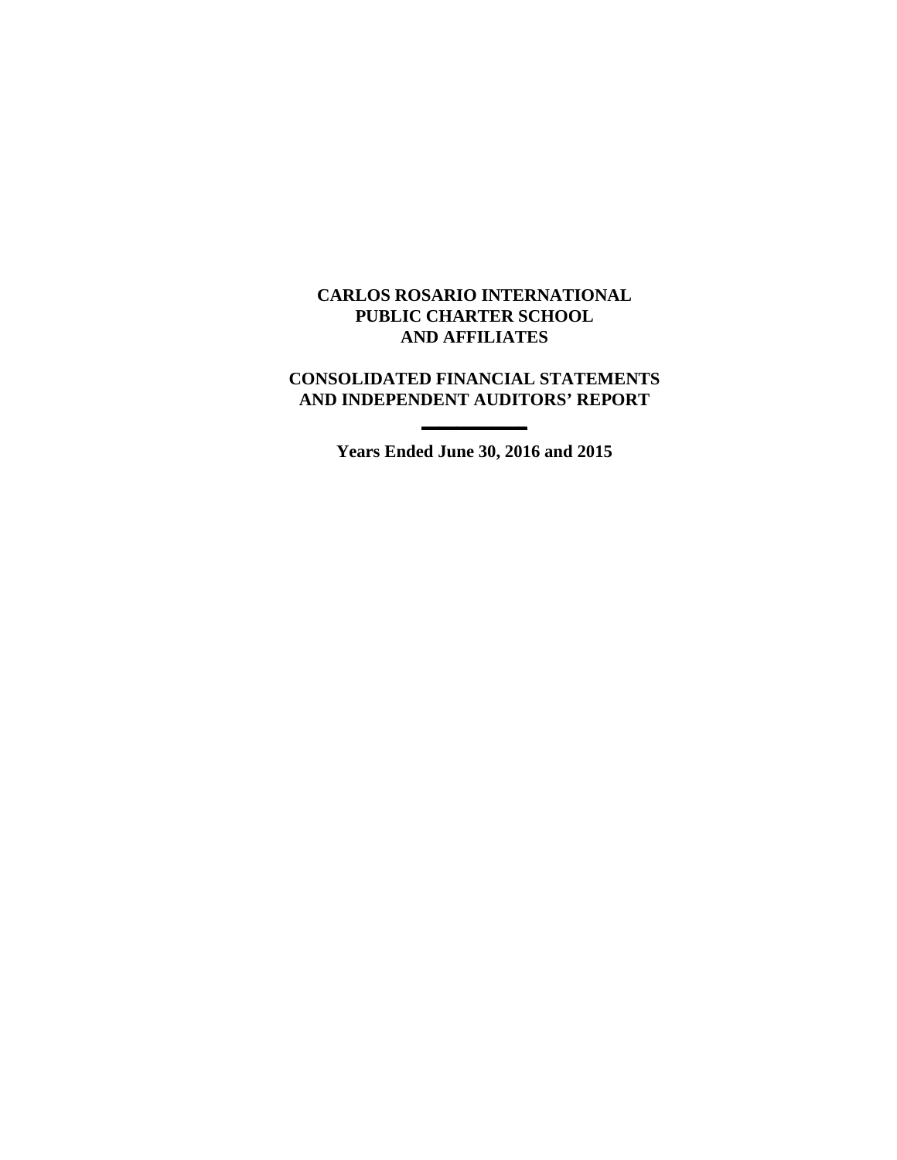### **CARLOS ROSARIO INTERNATIONAL PUBLIC CHARTER SCHOOL AND AFFILIATES**

## **CONSOLIDATED FINANCIAL STATEMENTS AND INDEPENDENT AUDITORS' REPORT**

**Years Ended June 30, 2016 and 2015**

**\_\_\_\_\_\_\_\_\_\_\_\_**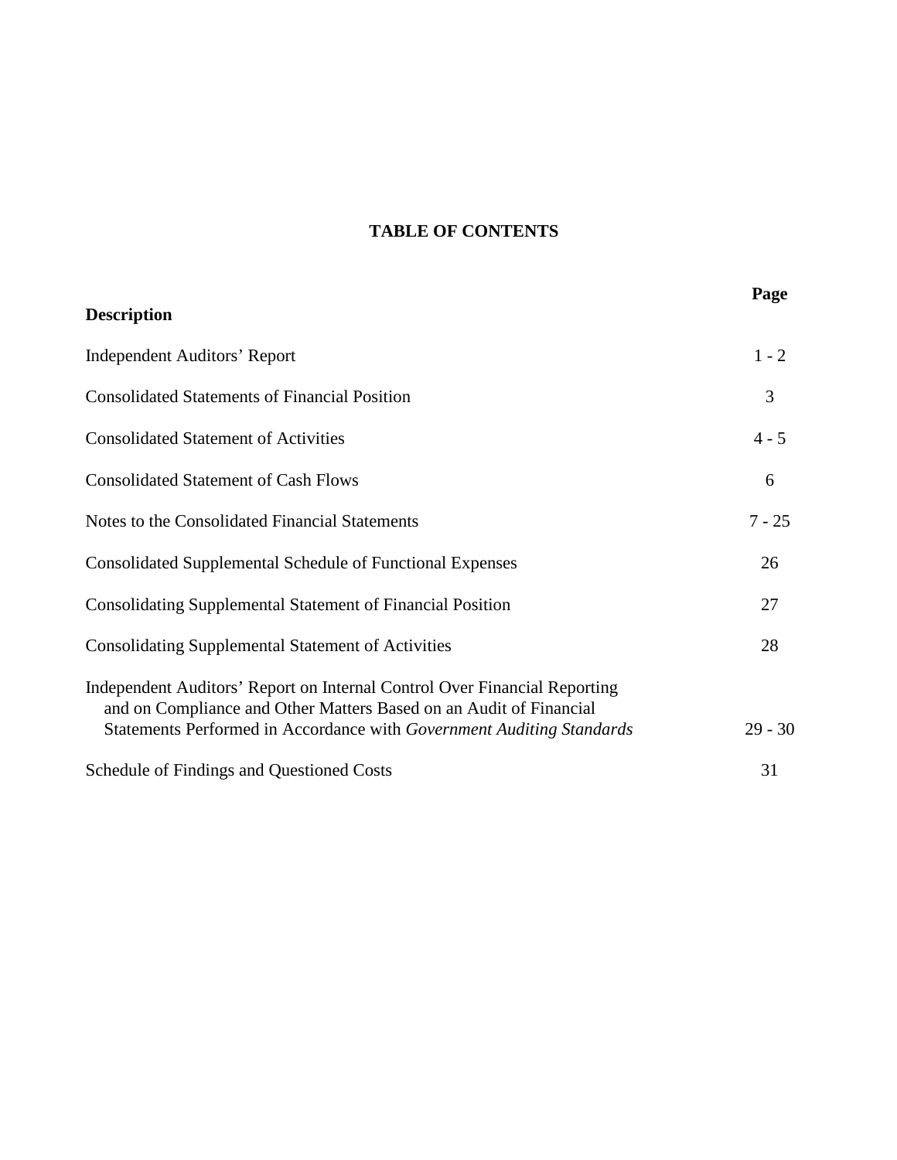# **TABLE OF CONTENTS**

| <b>Description</b>                                                                                                                                                                                                       | Page      |
|--------------------------------------------------------------------------------------------------------------------------------------------------------------------------------------------------------------------------|-----------|
| <b>Independent Auditors' Report</b>                                                                                                                                                                                      | $1 - 2$   |
| <b>Consolidated Statements of Financial Position</b>                                                                                                                                                                     | 3         |
| <b>Consolidated Statement of Activities</b>                                                                                                                                                                              | $4 - 5$   |
| <b>Consolidated Statement of Cash Flows</b>                                                                                                                                                                              | 6         |
| Notes to the Consolidated Financial Statements                                                                                                                                                                           | $7 - 25$  |
| <b>Consolidated Supplemental Schedule of Functional Expenses</b>                                                                                                                                                         | 26        |
| <b>Consolidating Supplemental Statement of Financial Position</b>                                                                                                                                                        | 27        |
| <b>Consolidating Supplemental Statement of Activities</b>                                                                                                                                                                | 28        |
| Independent Auditors' Report on Internal Control Over Financial Reporting<br>and on Compliance and Other Matters Based on an Audit of Financial<br>Statements Performed in Accordance with Government Auditing Standards | $29 - 30$ |
| Schedule of Findings and Questioned Costs                                                                                                                                                                                | 31        |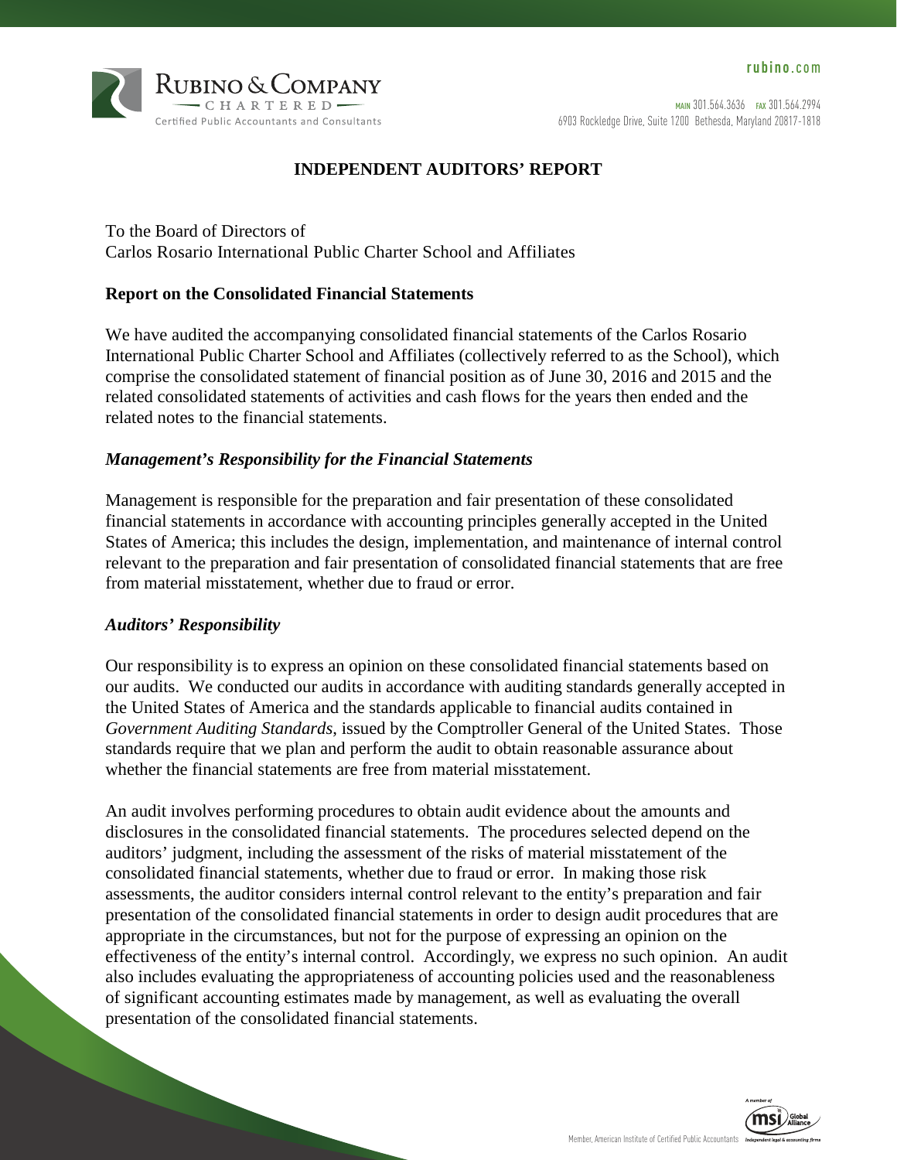

# **INDEPENDENT AUDITORS' REPORT**

To the Board of Directors of Carlos Rosario International Public Charter School and Affiliates

### **Report on the Consolidated Financial Statements**

We have audited the accompanying consolidated financial statements of the Carlos Rosario International Public Charter School and Affiliates (collectively referred to as the School), which comprise the consolidated statement of financial position as of June 30, 2016 and 2015 and the related consolidated statements of activities and cash flows for the years then ended and the related notes to the financial statements.

### *Management's Responsibility for the Financial Statements*

Management is responsible for the preparation and fair presentation of these consolidated financial statements in accordance with accounting principles generally accepted in the United States of America; this includes the design, implementation, and maintenance of internal control relevant to the preparation and fair presentation of consolidated financial statements that are free from material misstatement, whether due to fraud or error.

### *Auditors' Responsibility*

Our responsibility is to express an opinion on these consolidated financial statements based on our audits. We conducted our audits in accordance with auditing standards generally accepted in the United States of America and the standards applicable to financial audits contained in *Government Auditing Standards*, issued by the Comptroller General of the United States. Those standards require that we plan and perform the audit to obtain reasonable assurance about whether the financial statements are free from material misstatement.

An audit involves performing procedures to obtain audit evidence about the amounts and disclosures in the consolidated financial statements. The procedures selected depend on the auditors' judgment, including the assessment of the risks of material misstatement of the consolidated financial statements, whether due to fraud or error. In making those risk assessments, the auditor considers internal control relevant to the entity's preparation and fair presentation of the consolidated financial statements in order to design audit procedures that are appropriate in the circumstances, but not for the purpose of expressing an opinion on the effectiveness of the entity's internal control. Accordingly, we express no such opinion. An audit also includes evaluating the appropriateness of accounting policies used and the reasonableness of significant accounting estimates made by management, as well as evaluating the overall presentation of the consolidated financial statements.

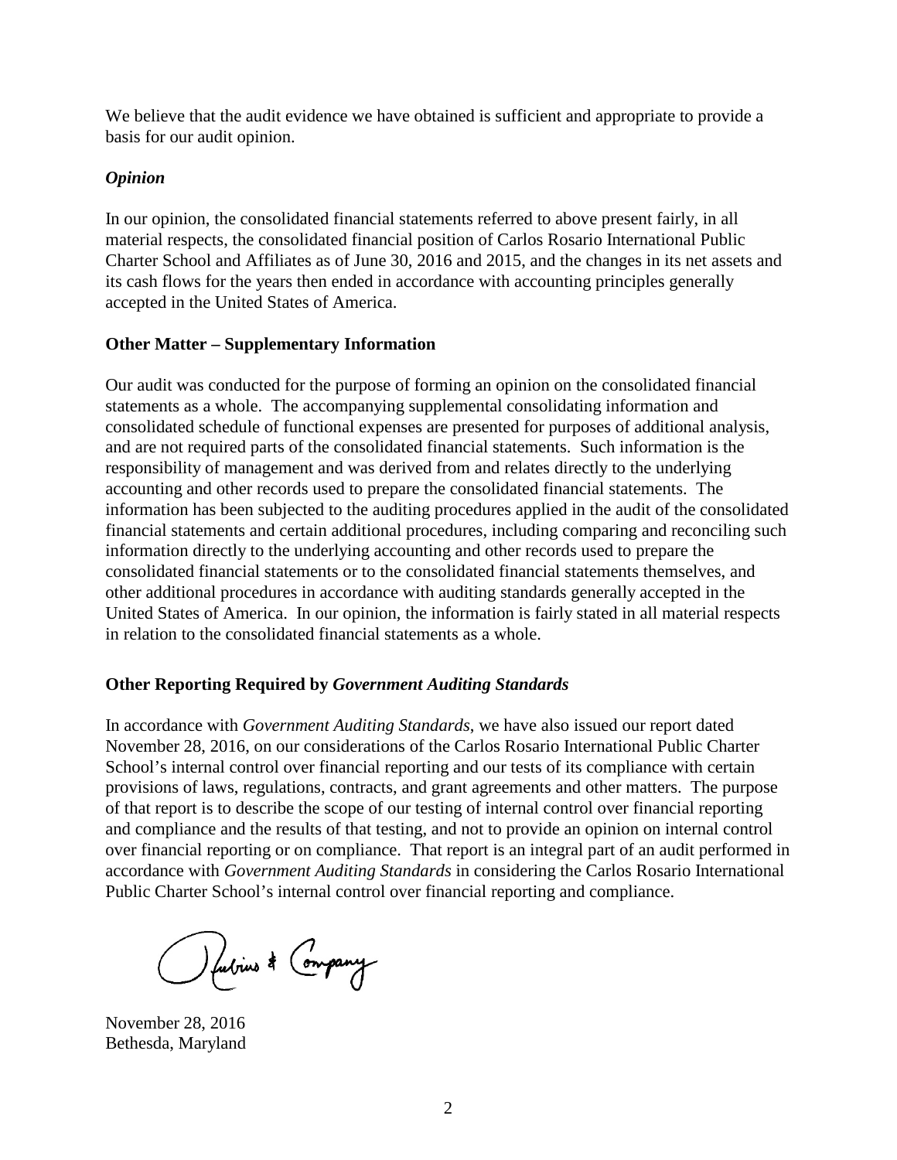We believe that the audit evidence we have obtained is sufficient and appropriate to provide a basis for our audit opinion.

## *Opinion*

In our opinion, the consolidated financial statements referred to above present fairly, in all material respects, the consolidated financial position of Carlos Rosario International Public Charter School and Affiliates as of June 30, 2016 and 2015, and the changes in its net assets and its cash flows for the years then ended in accordance with accounting principles generally accepted in the United States of America.

## **Other Matter – Supplementary Information**

Our audit was conducted for the purpose of forming an opinion on the consolidated financial statements as a whole. The accompanying supplemental consolidating information and consolidated schedule of functional expenses are presented for purposes of additional analysis, and are not required parts of the consolidated financial statements. Such information is the responsibility of management and was derived from and relates directly to the underlying accounting and other records used to prepare the consolidated financial statements. The information has been subjected to the auditing procedures applied in the audit of the consolidated financial statements and certain additional procedures, including comparing and reconciling such information directly to the underlying accounting and other records used to prepare the consolidated financial statements or to the consolidated financial statements themselves, and other additional procedures in accordance with auditing standards generally accepted in the United States of America. In our opinion, the information is fairly stated in all material respects in relation to the consolidated financial statements as a whole.

# **Other Reporting Required by** *Government Auditing Standards*

In accordance with *Government Auditing Standards*, we have also issued our report dated November 28, 2016, on our considerations of the Carlos Rosario International Public Charter School's internal control over financial reporting and our tests of its compliance with certain provisions of laws, regulations, contracts, and grant agreements and other matters. The purpose of that report is to describe the scope of our testing of internal control over financial reporting and compliance and the results of that testing, and not to provide an opinion on internal control over financial reporting or on compliance. That report is an integral part of an audit performed in accordance with *Government Auditing Standards* in considering the Carlos Rosario International Public Charter School's internal control over financial reporting and compliance.

Ofutivo \* Company

November 28, 2016 Bethesda, Maryland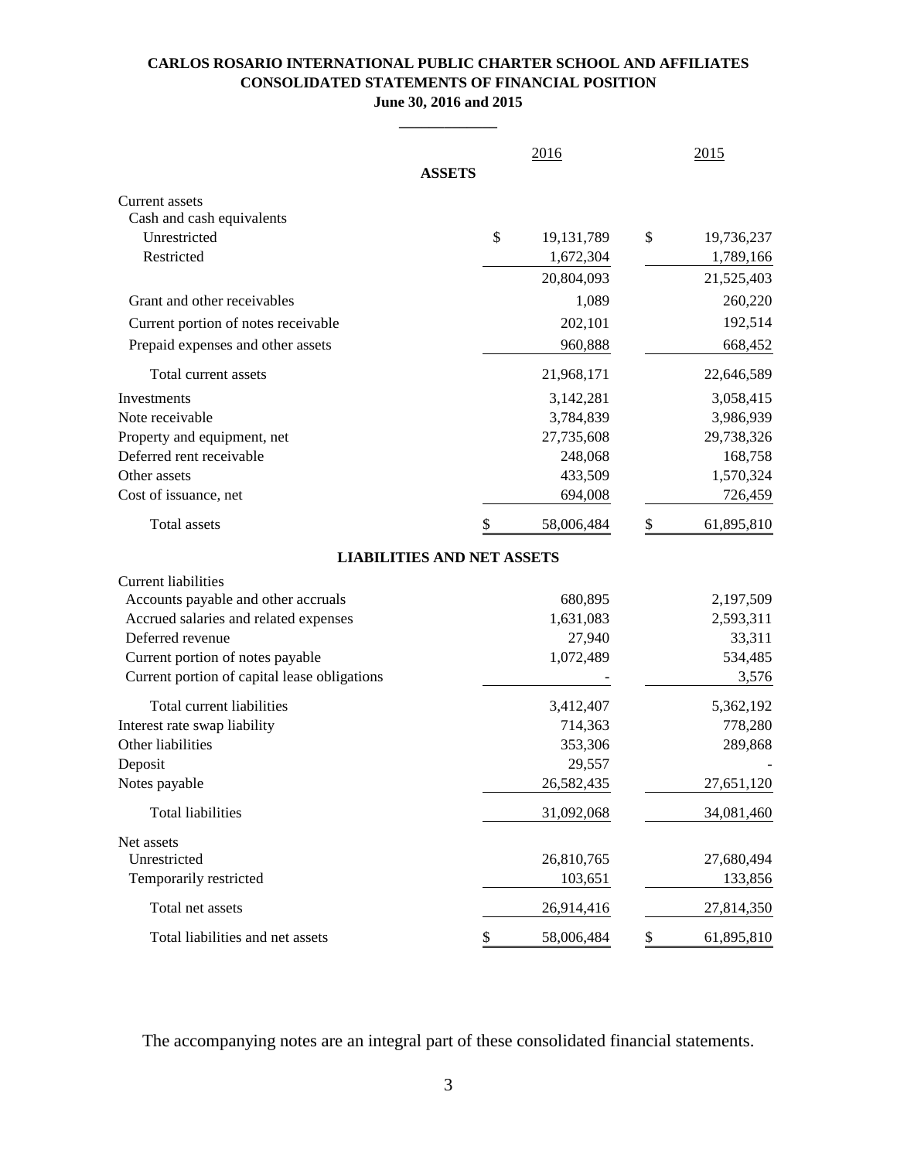#### **CARLOS ROSARIO INTERNATIONAL PUBLIC CHARTER SCHOOL AND AFFILIATES CONSOLIDATED STATEMENTS OF FINANCIAL POSITION June 30, 2016 and 2015**

**\_\_\_\_\_\_\_\_\_\_\_\_\_**

|                                              | <b>ASSETS</b> | 2016       |    | 2015       |
|----------------------------------------------|---------------|------------|----|------------|
| Current assets                               |               |            |    |            |
| Cash and cash equivalents                    |               |            |    |            |
| Unrestricted                                 | \$            | 19,131,789 | \$ | 19,736,237 |
| Restricted                                   |               | 1,672,304  |    | 1,789,166  |
|                                              |               | 20,804,093 |    | 21,525,403 |
| Grant and other receivables                  |               | 1,089      |    | 260,220    |
| Current portion of notes receivable          |               | 202,101    |    | 192,514    |
| Prepaid expenses and other assets            |               | 960,888    |    | 668,452    |
| Total current assets                         |               | 21,968,171 |    | 22,646,589 |
| Investments                                  |               | 3,142,281  |    | 3,058,415  |
| Note receivable                              |               | 3,784,839  |    | 3,986,939  |
| Property and equipment, net                  |               | 27,735,608 |    | 29,738,326 |
| Deferred rent receivable                     |               | 248,068    |    | 168,758    |
| Other assets                                 |               | 433,509    |    | 1,570,324  |
| Cost of issuance, net                        |               | 694,008    |    | 726,459    |
| Total assets                                 | \$            | 58,006,484 | \$ | 61,895,810 |
| <b>LIABILITIES AND NET ASSETS</b>            |               |            |    |            |
| <b>Current liabilities</b>                   |               |            |    |            |
| Accounts payable and other accruals          |               | 680,895    |    | 2,197,509  |
| Accrued salaries and related expenses        |               | 1,631,083  |    | 2,593,311  |
| Deferred revenue                             |               | 27,940     |    | 33,311     |
| Current portion of notes payable             |               | 1,072,489  |    | 534,485    |
| Current portion of capital lease obligations |               |            |    | 3,576      |
| Total current liabilities                    |               | 3,412,407  |    | 5,362,192  |
| Interest rate swap liability                 |               | 714,363    |    | 778,280    |
| Other liabilities                            |               | 353,306    |    | 289,868    |
| Deposit                                      |               | 29,557     |    |            |
| Notes payable                                |               | 26,582,435 |    | 27,651,120 |
| <b>Total liabilities</b>                     |               | 31,092,068 |    | 34,081,460 |
| Net assets                                   |               |            |    |            |
| Unrestricted                                 |               | 26,810,765 |    | 27,680,494 |
| Temporarily restricted                       |               | 103,651    |    | 133,856    |
| Total net assets                             |               | 26,914,416 |    | 27,814,350 |
| Total liabilities and net assets             | \$            | 58,006,484 | \$ | 61,895,810 |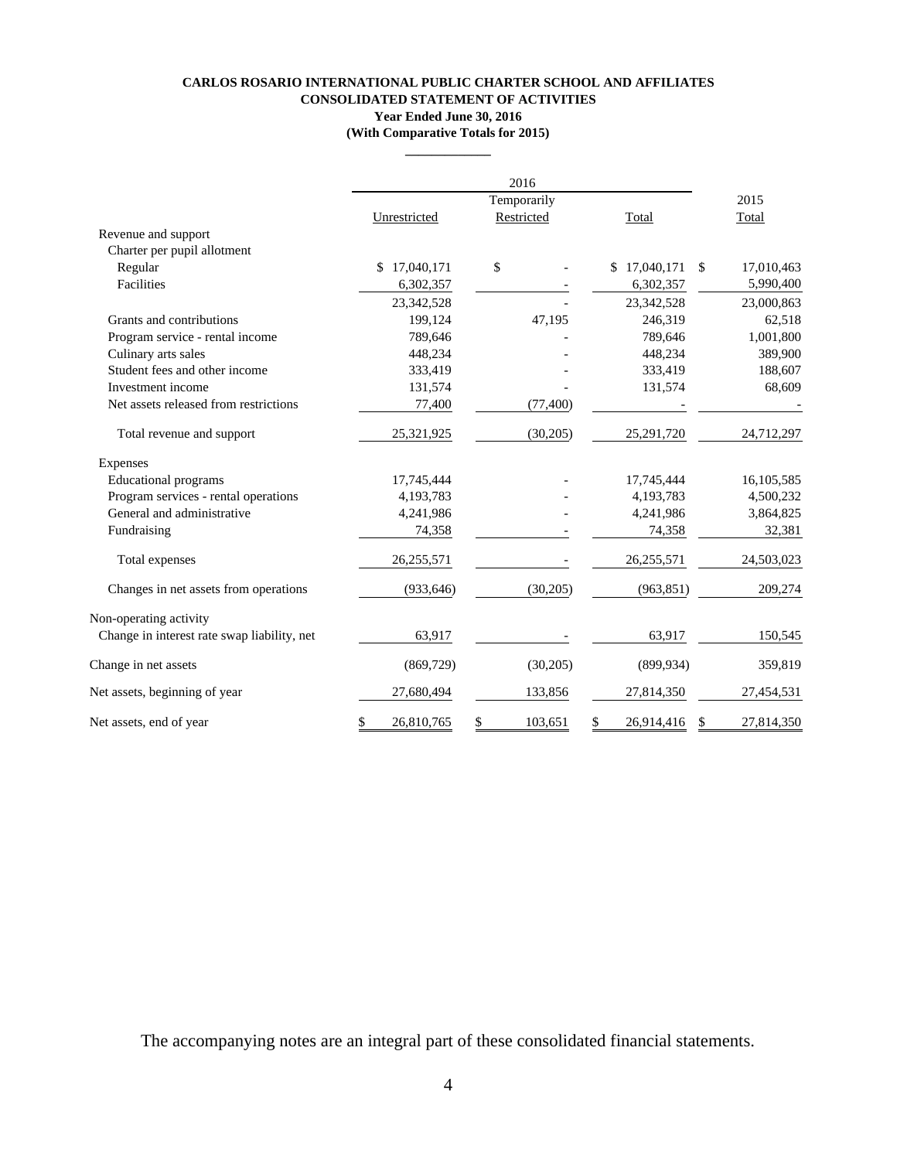### **CARLOS ROSARIO INTERNATIONAL PUBLIC CHARTER SCHOOL AND AFFILIATES CONSOLIDATED STATEMENT OF ACTIVITIES Year Ended June 30, 2016**

| (With Comparative Totals for 2015) |  |  |
|------------------------------------|--|--|
|                                    |  |  |

|                                             |                  | 2016          |                  |                  |
|---------------------------------------------|------------------|---------------|------------------|------------------|
|                                             |                  | Temporarily   |                  | 2015             |
|                                             | Unrestricted     | Restricted    | Total            | Total            |
| Revenue and support                         |                  |               |                  |                  |
| Charter per pupil allotment                 |                  |               |                  |                  |
| Regular                                     | 17,040,171<br>\$ | \$            | 17,040,171<br>\$ | \$<br>17,010,463 |
| Facilities                                  | 6,302,357        |               | 6,302,357        | 5,990,400        |
|                                             | 23,342,528       |               | 23,342,528       | 23,000,863       |
| Grants and contributions                    | 199,124          | 47,195        | 246,319          | 62,518           |
| Program service - rental income             | 789,646          |               | 789,646          | 1,001,800        |
| Culinary arts sales                         | 448,234          |               | 448,234          | 389,900          |
| Student fees and other income               | 333,419          |               | 333,419          | 188,607          |
| Investment income                           | 131,574          |               | 131,574          | 68,609           |
| Net assets released from restrictions       | 77,400           | (77, 400)     |                  |                  |
| Total revenue and support                   | 25,321,925       | (30,205)      | 25,291,720       | 24,712,297       |
| Expenses                                    |                  |               |                  |                  |
| <b>Educational</b> programs                 | 17,745,444       |               | 17,745,444       | 16,105,585       |
| Program services - rental operations        | 4,193,783        |               | 4,193,783        | 4,500,232        |
| General and administrative                  | 4,241,986        |               | 4,241,986        | 3,864,825        |
| Fundraising                                 | 74,358           |               | 74,358           | 32,381           |
| Total expenses                              | 26,255,571       |               | 26,255,571       | 24,503,023       |
| Changes in net assets from operations       | (933, 646)       | (30,205)      | (963, 851)       | 209,274          |
| Non-operating activity                      |                  |               |                  |                  |
| Change in interest rate swap liability, net | 63,917           |               | 63,917           | 150,545          |
| Change in net assets                        | (869,729)        | (30,205)      | (899, 934)       | 359,819          |
| Net assets, beginning of year               | 27,680,494       | 133,856       | 27,814,350       | 27,454,531       |
| Net assets, end of year                     | \$<br>26,810,765 | 103,651<br>\$ | 26,914,416<br>S  | 27,814,350<br>\$ |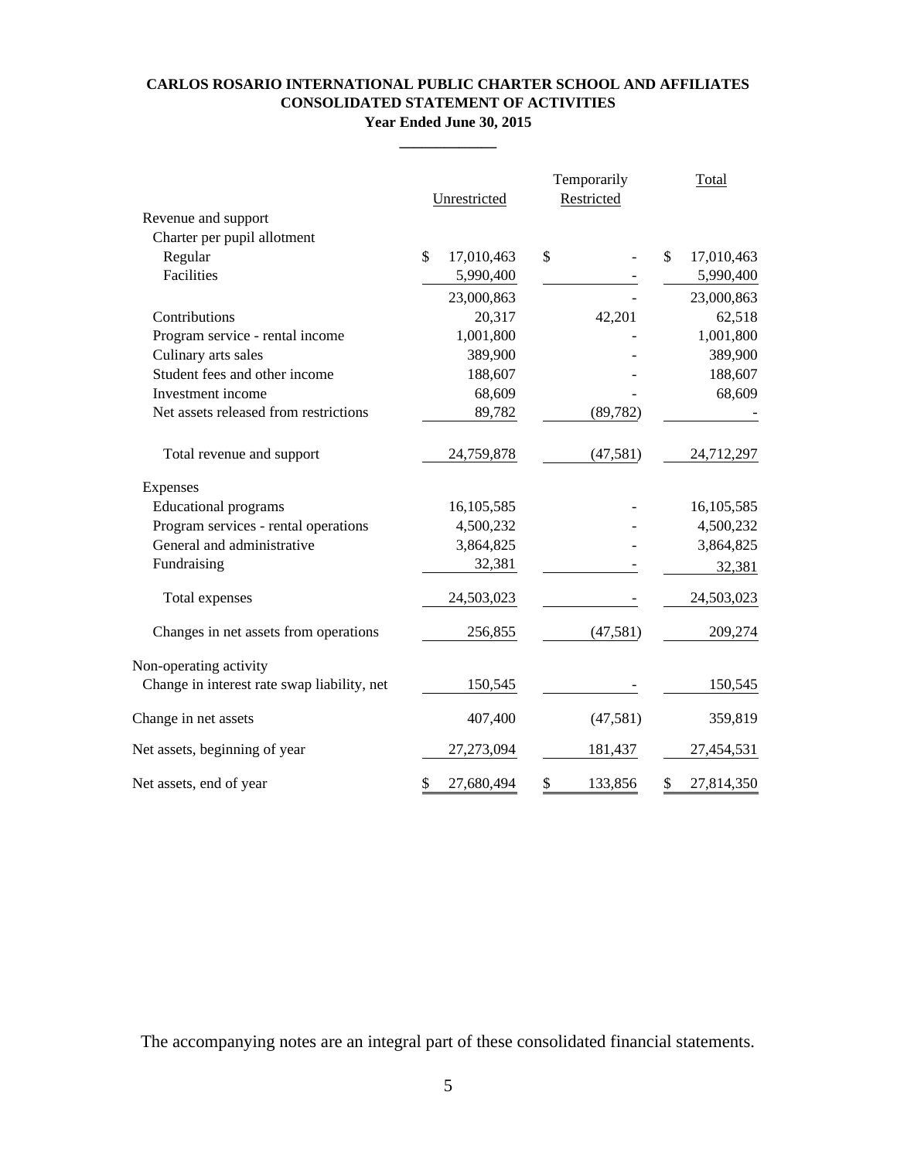#### **CARLOS ROSARIO INTERNATIONAL PUBLIC CHARTER SCHOOL AND AFFILIATES CONSOLIDATED STATEMENT OF ACTIVITIES Year Ended June 30, 2015**

**\_\_\_\_\_\_\_\_\_\_\_\_\_**

|                                             | Unrestricted               | Temporarily<br>Restricted | Total                      |
|---------------------------------------------|----------------------------|---------------------------|----------------------------|
| Revenue and support                         |                            |                           |                            |
| Charter per pupil allotment                 |                            |                           |                            |
| Regular                                     | $\mathbb{S}$<br>17,010,463 | \$                        | $\mathbb{S}$<br>17,010,463 |
| Facilities                                  | 5,990,400                  |                           | 5,990,400                  |
|                                             | 23,000,863                 |                           | 23,000,863                 |
| Contributions                               | 20,317                     | 42,201                    | 62,518                     |
| Program service - rental income             | 1,001,800                  |                           | 1,001,800                  |
| Culinary arts sales                         | 389,900                    |                           | 389,900                    |
| Student fees and other income               | 188,607                    |                           | 188,607                    |
| Investment income                           | 68,609                     |                           | 68,609                     |
| Net assets released from restrictions       | 89,782                     | (89, 782)                 |                            |
| Total revenue and support                   | 24,759,878                 | (47, 581)                 | 24,712,297                 |
| Expenses                                    |                            |                           |                            |
| <b>Educational programs</b>                 | 16,105,585                 |                           | 16,105,585                 |
| Program services - rental operations        | 4,500,232                  |                           | 4,500,232                  |
| General and administrative                  | 3,864,825                  |                           | 3,864,825                  |
| Fundraising                                 | 32,381                     |                           | 32,381                     |
| Total expenses                              | 24,503,023                 |                           | 24,503,023                 |
| Changes in net assets from operations       | 256,855                    | (47, 581)                 | 209,274                    |
| Non-operating activity                      |                            |                           |                            |
| Change in interest rate swap liability, net | 150,545                    |                           | 150,545                    |
| Change in net assets                        | 407,400                    | (47,581)                  | 359,819                    |
| Net assets, beginning of year               | 27,273,094                 | 181,437                   | 27,454,531                 |
| Net assets, end of year                     | \$<br>27,680,494           | \$<br>133,856             | \$<br>27,814,350           |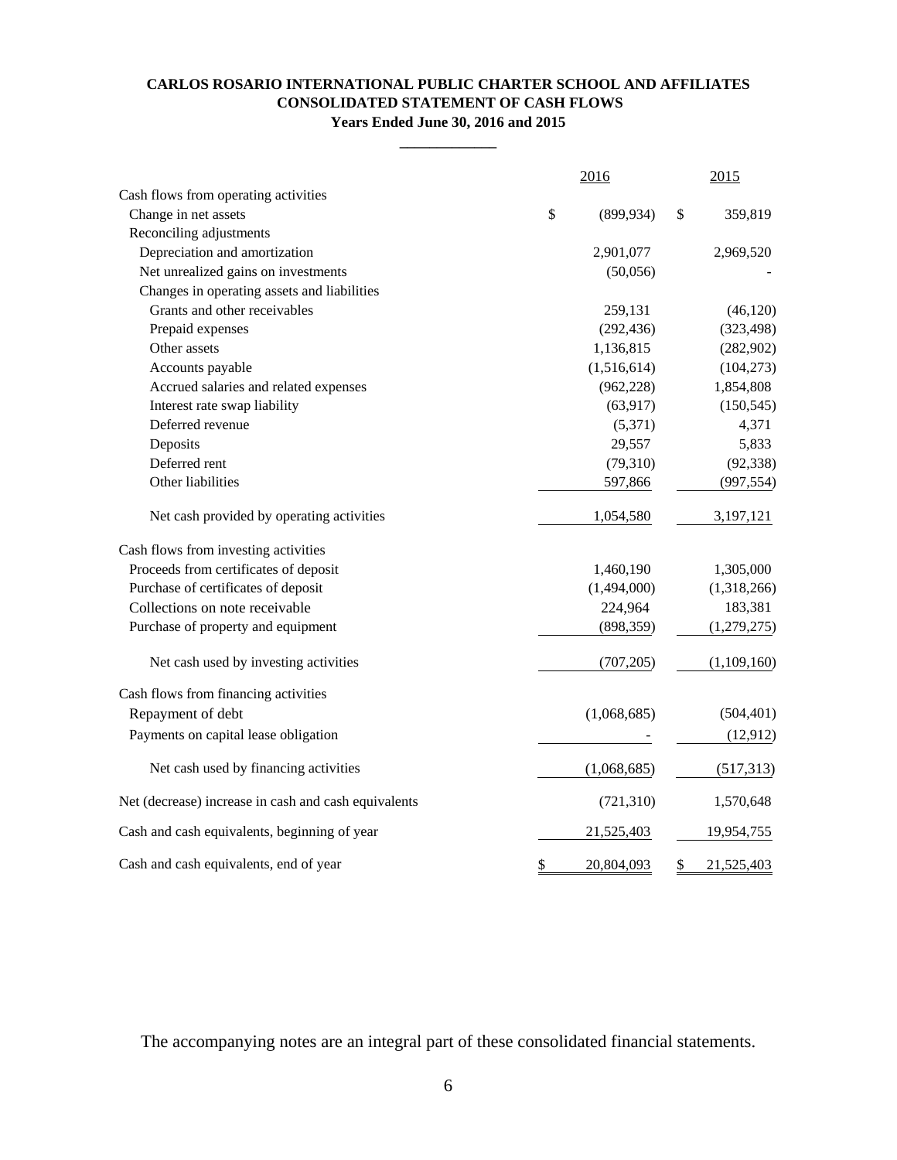#### **CONSOLIDATED STATEMENT OF CASH FLOWS Years Ended June 30, 2016 and 2015 CARLOS ROSARIO INTERNATIONAL PUBLIC CHARTER SCHOOL AND AFFILIATES**

**\_\_\_\_\_\_\_\_\_\_\_\_\_**

|                                                      |      | 2016        | 2015             |
|------------------------------------------------------|------|-------------|------------------|
| Cash flows from operating activities                 |      |             |                  |
| Change in net assets                                 | $\$$ | (899, 934)  | \$<br>359,819    |
| Reconciling adjustments                              |      |             |                  |
| Depreciation and amortization                        |      | 2,901,077   | 2,969,520        |
| Net unrealized gains on investments                  |      | (50,056)    |                  |
| Changes in operating assets and liabilities          |      |             |                  |
| Grants and other receivables                         |      | 259,131     | (46, 120)        |
| Prepaid expenses                                     |      | (292, 436)  | (323, 498)       |
| Other assets                                         |      | 1,136,815   | (282,902)        |
| Accounts payable                                     |      | (1,516,614) | (104, 273)       |
| Accrued salaries and related expenses                |      | (962, 228)  | 1,854,808        |
| Interest rate swap liability                         |      | (63, 917)   | (150, 545)       |
| Deferred revenue                                     |      | (5,371)     | 4,371            |
| Deposits                                             |      | 29,557      | 5,833            |
| Deferred rent                                        |      | (79,310)    | (92, 338)        |
| Other liabilities                                    |      | 597,866     | (997, 554)       |
| Net cash provided by operating activities            |      | 1,054,580   | 3,197,121        |
| Cash flows from investing activities                 |      |             |                  |
| Proceeds from certificates of deposit                |      | 1,460,190   | 1,305,000        |
| Purchase of certificates of deposit                  |      | (1,494,000) | (1,318,266)      |
| Collections on note receivable                       |      | 224,964     | 183,381          |
| Purchase of property and equipment                   |      | (898, 359)  | (1,279,275)      |
| Net cash used by investing activities                |      | (707, 205)  | (1,109,160)      |
| Cash flows from financing activities                 |      |             |                  |
| Repayment of debt                                    |      | (1,068,685) | (504, 401)       |
| Payments on capital lease obligation                 |      |             | (12, 912)        |
| Net cash used by financing activities                |      | (1,068,685) | (517, 313)       |
| Net (decrease) increase in cash and cash equivalents |      | (721, 310)  | 1,570,648        |
| Cash and cash equivalents, beginning of year         |      | 21,525,403  | 19,954,755       |
| Cash and cash equivalents, end of year               | \$   | 20,804,093  | \$<br>21,525,403 |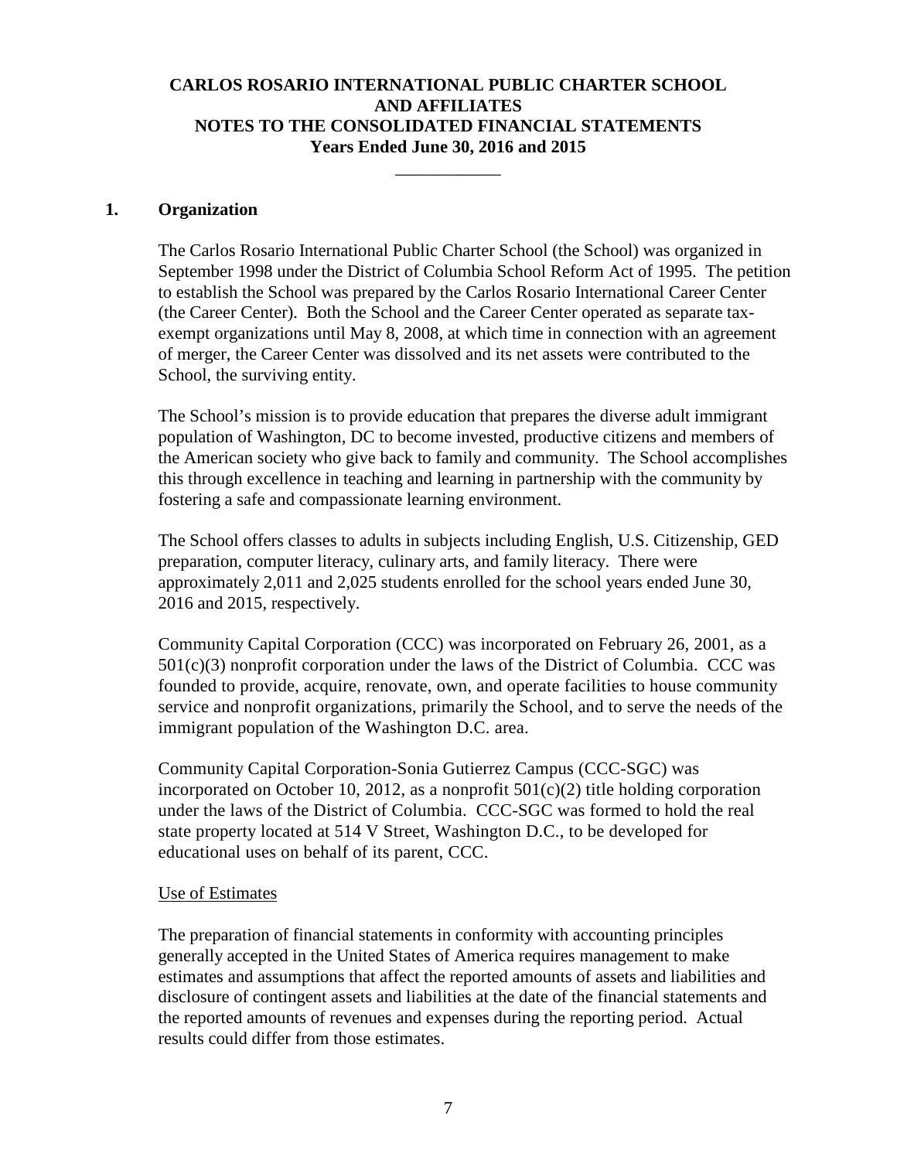\_\_\_\_\_\_\_\_\_\_\_\_

#### **1. Organization**

The Carlos Rosario International Public Charter School (the School) was organized in September 1998 under the District of Columbia School Reform Act of 1995. The petition to establish the School was prepared by the Carlos Rosario International Career Center (the Career Center). Both the School and the Career Center operated as separate taxexempt organizations until May 8, 2008, at which time in connection with an agreement of merger, the Career Center was dissolved and its net assets were contributed to the School, the surviving entity.

The School's mission is to provide education that prepares the diverse adult immigrant population of Washington, DC to become invested, productive citizens and members of the American society who give back to family and community. The School accomplishes this through excellence in teaching and learning in partnership with the community by fostering a safe and compassionate learning environment.

The School offers classes to adults in subjects including English, U.S. Citizenship, GED preparation, computer literacy, culinary arts, and family literacy. There were approximately 2,011 and 2,025 students enrolled for the school years ended June 30, 2016 and 2015, respectively.

Community Capital Corporation (CCC) was incorporated on February 26, 2001, as a  $501(c)(3)$  nonprofit corporation under the laws of the District of Columbia. CCC was founded to provide, acquire, renovate, own, and operate facilities to house community service and nonprofit organizations, primarily the School, and to serve the needs of the immigrant population of the Washington D.C. area.

Community Capital Corporation-Sonia Gutierrez Campus (CCC-SGC) was incorporated on October 10, 2012, as a nonprofit  $501(c)(2)$  title holding corporation under the laws of the District of Columbia. CCC-SGC was formed to hold the real state property located at 514 V Street, Washington D.C., to be developed for educational uses on behalf of its parent, CCC.

### Use of Estimates

The preparation of financial statements in conformity with accounting principles generally accepted in the United States of America requires management to make estimates and assumptions that affect the reported amounts of assets and liabilities and disclosure of contingent assets and liabilities at the date of the financial statements and the reported amounts of revenues and expenses during the reporting period. Actual results could differ from those estimates.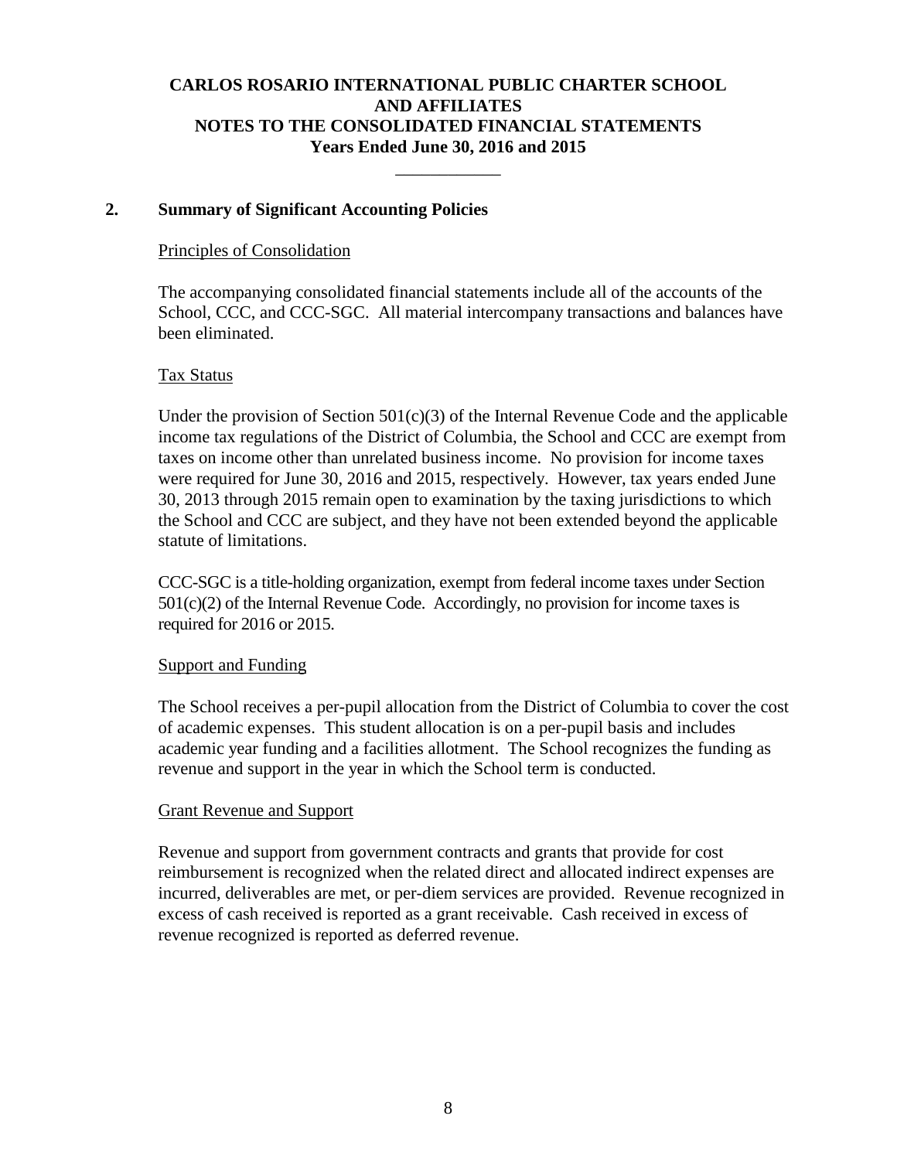\_\_\_\_\_\_\_\_\_\_\_\_

### **2. Summary of Significant Accounting Policies**

#### Principles of Consolidation

The accompanying consolidated financial statements include all of the accounts of the School, CCC, and CCC-SGC. All material intercompany transactions and balances have been eliminated.

#### Tax Status

Under the provision of Section  $501(c)(3)$  of the Internal Revenue Code and the applicable income tax regulations of the District of Columbia, the School and CCC are exempt from taxes on income other than unrelated business income. No provision for income taxes were required for June 30, 2016 and 2015, respectively. However, tax years ended June 30, 2013 through 2015 remain open to examination by the taxing jurisdictions to which the School and CCC are subject, and they have not been extended beyond the applicable statute of limitations.

CCC-SGC is a title-holding organization, exempt from federal income taxes under Section  $501(c)(2)$  of the Internal Revenue Code. Accordingly, no provision for income taxes is required for 2016 or 2015.

#### Support and Funding

The School receives a per-pupil allocation from the District of Columbia to cover the cost of academic expenses. This student allocation is on a per-pupil basis and includes academic year funding and a facilities allotment. The School recognizes the funding as revenue and support in the year in which the School term is conducted.

#### Grant Revenue and Support

Revenue and support from government contracts and grants that provide for cost reimbursement is recognized when the related direct and allocated indirect expenses are incurred, deliverables are met, or per-diem services are provided. Revenue recognized in excess of cash received is reported as a grant receivable. Cash received in excess of revenue recognized is reported as deferred revenue.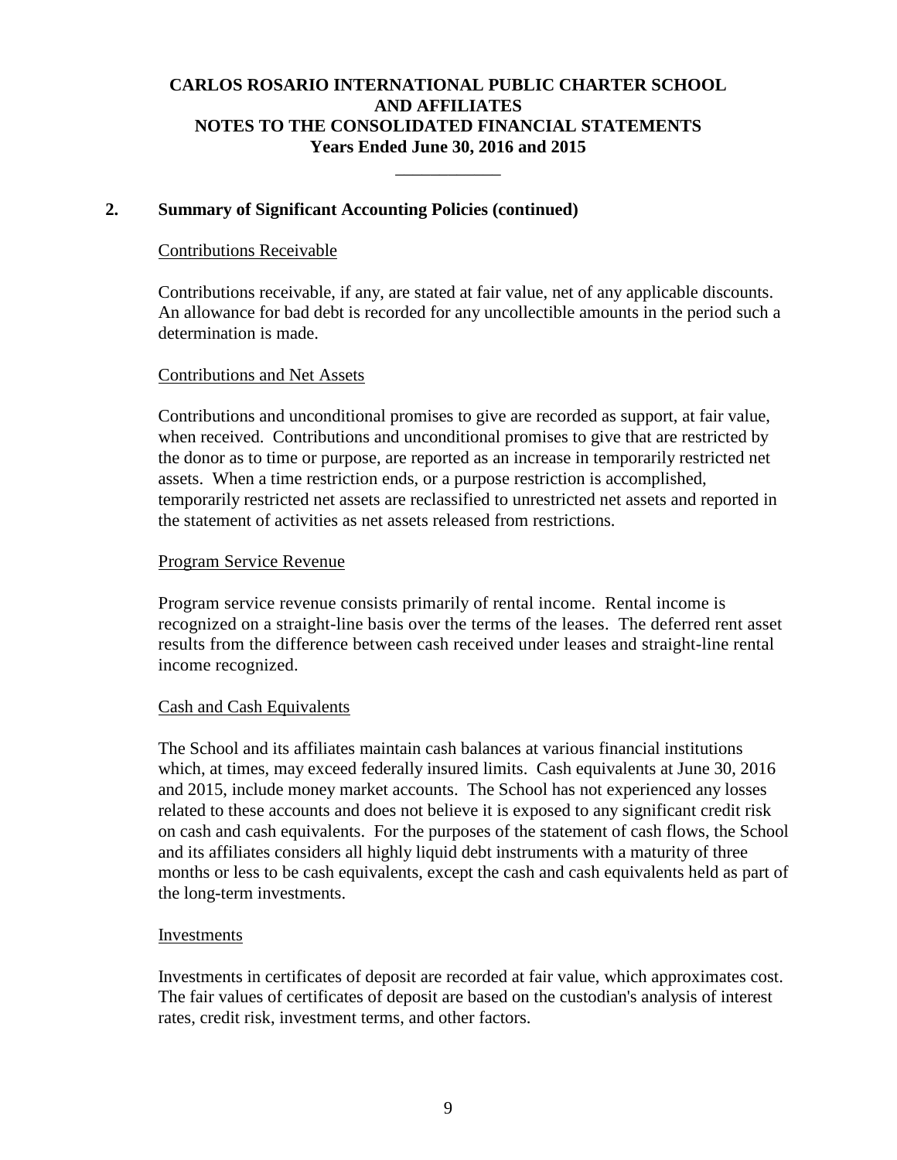\_\_\_\_\_\_\_\_\_\_\_\_

### **2. Summary of Significant Accounting Policies (continued)**

### Contributions Receivable

Contributions receivable, if any, are stated at fair value, net of any applicable discounts. An allowance for bad debt is recorded for any uncollectible amounts in the period such a determination is made.

### Contributions and Net Assets

Contributions and unconditional promises to give are recorded as support, at fair value, when received. Contributions and unconditional promises to give that are restricted by the donor as to time or purpose, are reported as an increase in temporarily restricted net assets. When a time restriction ends, or a purpose restriction is accomplished, temporarily restricted net assets are reclassified to unrestricted net assets and reported in the statement of activities as net assets released from restrictions.

### Program Service Revenue

Program service revenue consists primarily of rental income. Rental income is recognized on a straight-line basis over the terms of the leases. The deferred rent asset results from the difference between cash received under leases and straight-line rental income recognized.

### Cash and Cash Equivalents

The School and its affiliates maintain cash balances at various financial institutions which, at times, may exceed federally insured limits. Cash equivalents at June 30, 2016 and 2015, include money market accounts. The School has not experienced any losses related to these accounts and does not believe it is exposed to any significant credit risk on cash and cash equivalents. For the purposes of the statement of cash flows, the School and its affiliates considers all highly liquid debt instruments with a maturity of three months or less to be cash equivalents, except the cash and cash equivalents held as part of the long-term investments.

### Investments

Investments in certificates of deposit are recorded at fair value, which approximates cost. The fair values of certificates of deposit are based on the custodian's analysis of interest rates, credit risk, investment terms, and other factors.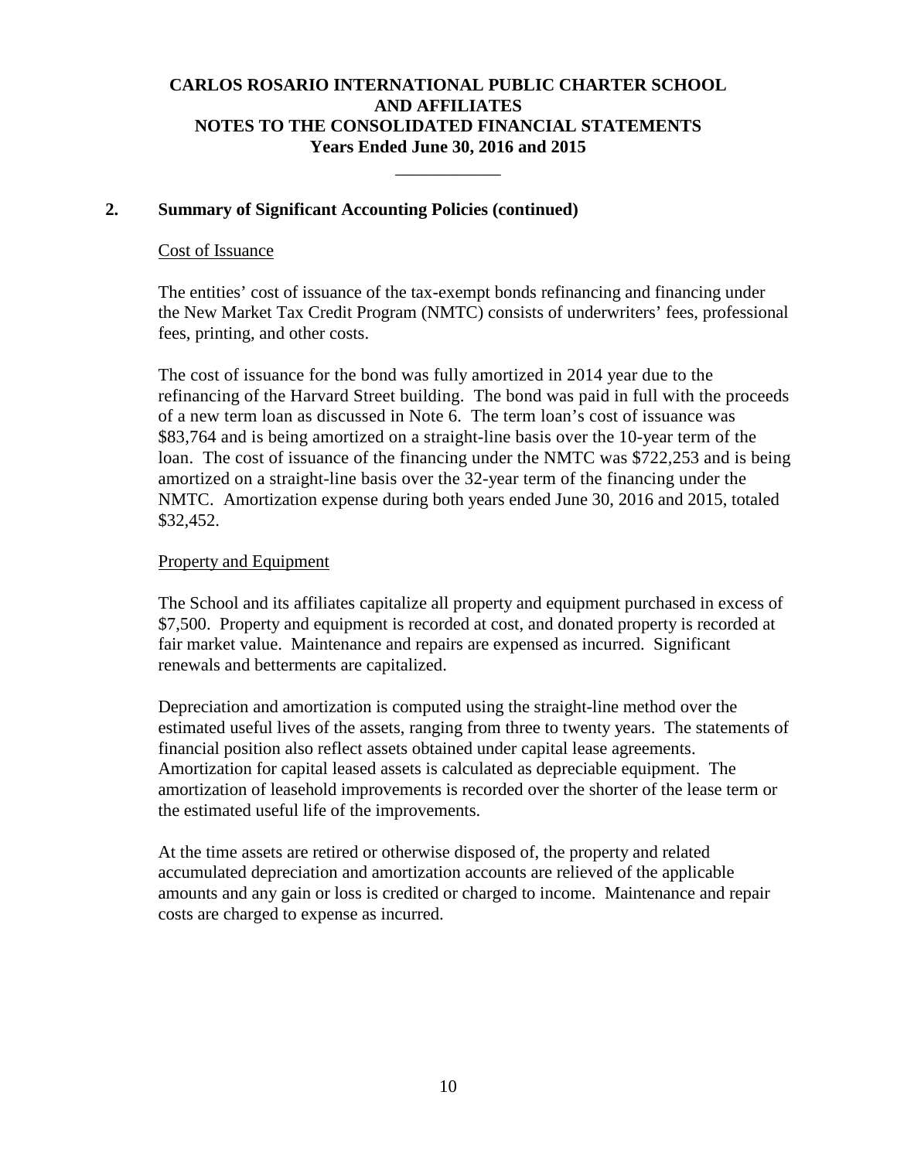\_\_\_\_\_\_\_\_\_\_\_\_

### **2. Summary of Significant Accounting Policies (continued)**

#### Cost of Issuance

The entities' cost of issuance of the tax-exempt bonds refinancing and financing under the New Market Tax Credit Program (NMTC) consists of underwriters' fees, professional fees, printing, and other costs.

The cost of issuance for the bond was fully amortized in 2014 year due to the refinancing of the Harvard Street building. The bond was paid in full with the proceeds of a new term loan as discussed in Note 6. The term loan's cost of issuance was \$83,764 and is being amortized on a straight-line basis over the 10-year term of the loan. The cost of issuance of the financing under the NMTC was \$722,253 and is being amortized on a straight-line basis over the 32-year term of the financing under the NMTC. Amortization expense during both years ended June 30, 2016 and 2015, totaled \$32,452.

### Property and Equipment

The School and its affiliates capitalize all property and equipment purchased in excess of \$7,500. Property and equipment is recorded at cost, and donated property is recorded at fair market value. Maintenance and repairs are expensed as incurred. Significant renewals and betterments are capitalized.

Depreciation and amortization is computed using the straight-line method over the estimated useful lives of the assets, ranging from three to twenty years. The statements of financial position also reflect assets obtained under capital lease agreements. Amortization for capital leased assets is calculated as depreciable equipment. The amortization of leasehold improvements is recorded over the shorter of the lease term or the estimated useful life of the improvements.

At the time assets are retired or otherwise disposed of, the property and related accumulated depreciation and amortization accounts are relieved of the applicable amounts and any gain or loss is credited or charged to income. Maintenance and repair costs are charged to expense as incurred.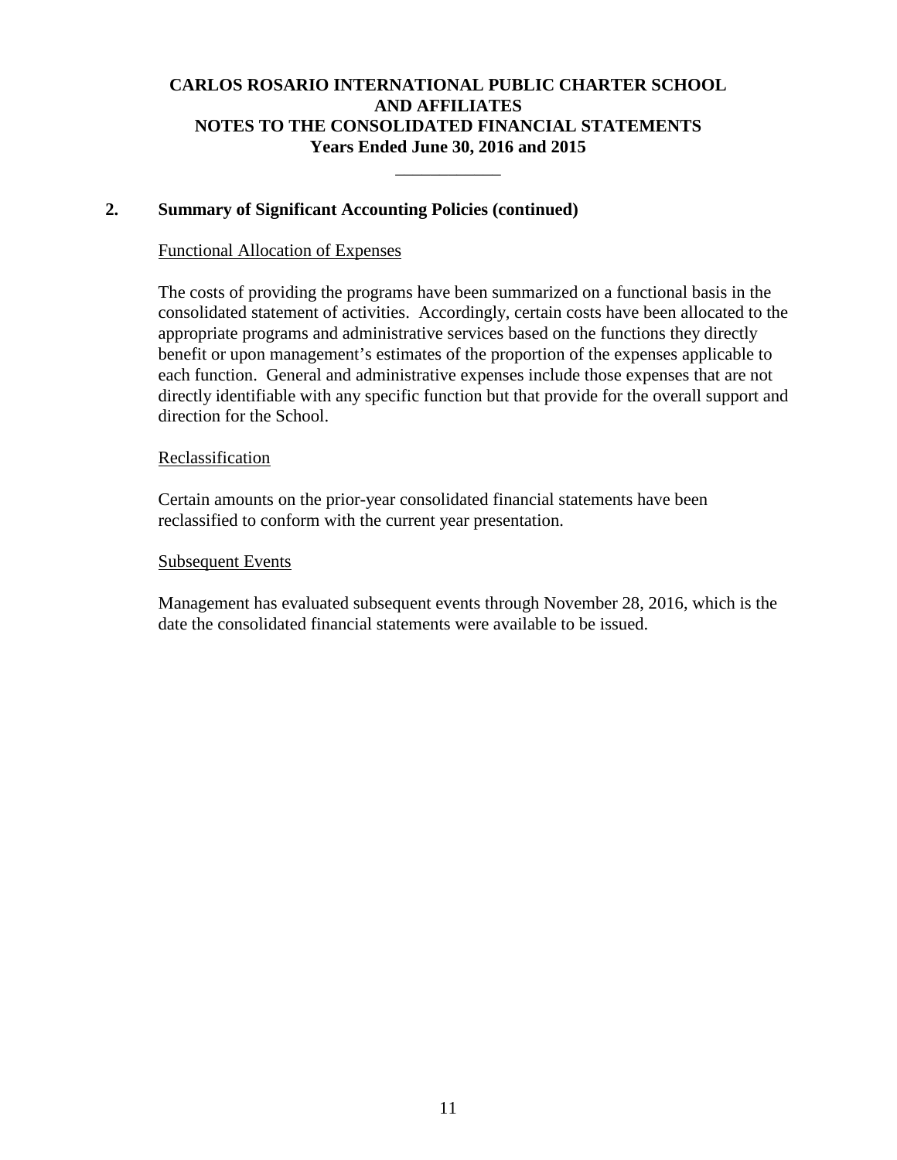\_\_\_\_\_\_\_\_\_\_\_\_

### **2. Summary of Significant Accounting Policies (continued)**

#### Functional Allocation of Expenses

The costs of providing the programs have been summarized on a functional basis in the consolidated statement of activities. Accordingly, certain costs have been allocated to the appropriate programs and administrative services based on the functions they directly benefit or upon management's estimates of the proportion of the expenses applicable to each function. General and administrative expenses include those expenses that are not directly identifiable with any specific function but that provide for the overall support and direction for the School.

### Reclassification

Certain amounts on the prior-year consolidated financial statements have been reclassified to conform with the current year presentation.

#### Subsequent Events

Management has evaluated subsequent events through November 28, 2016, which is the date the consolidated financial statements were available to be issued.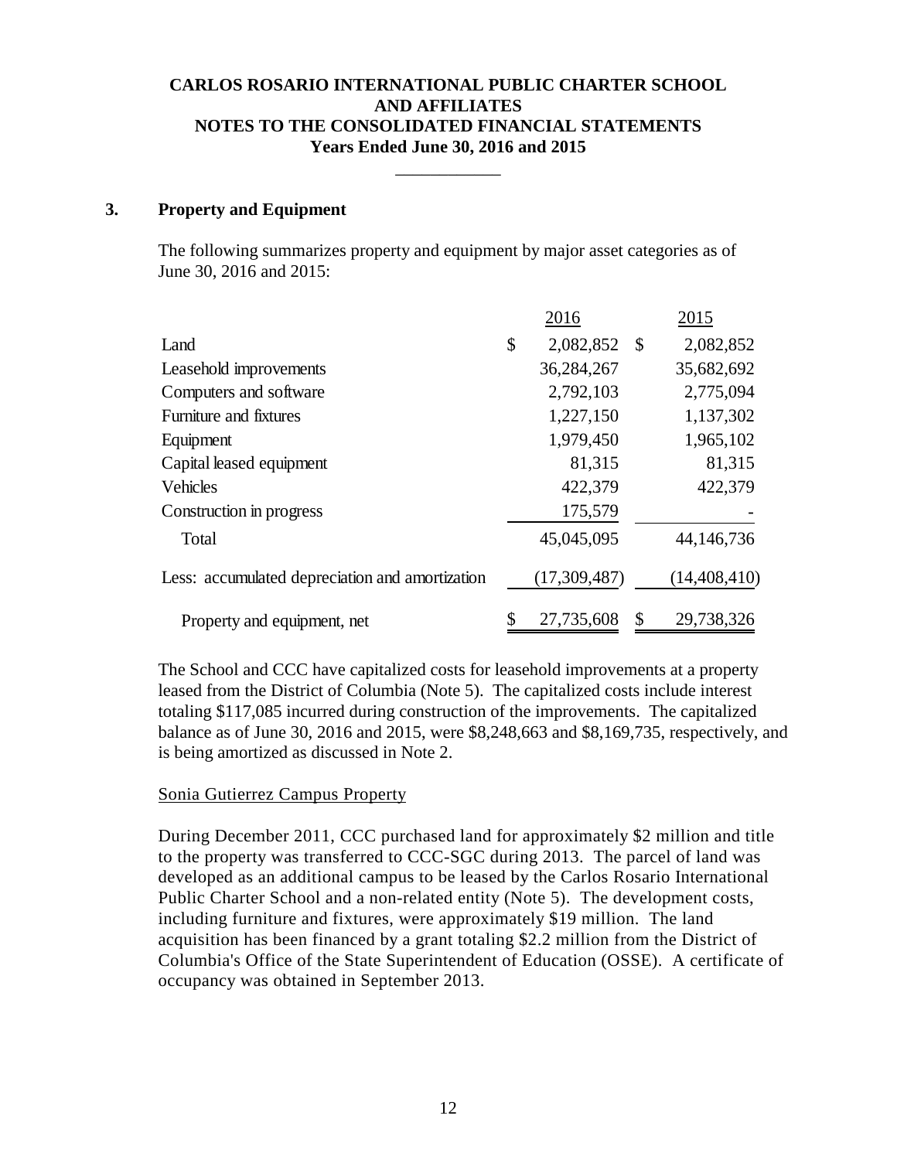\_\_\_\_\_\_\_\_\_\_\_\_

### **3. Property and Equipment**

The following summarizes property and equipment by major asset categories as of June 30, 2016 and 2015:

|                                                 | 2016            |               | 2015           |
|-------------------------------------------------|-----------------|---------------|----------------|
| Land                                            | \$<br>2,082,852 | $\mathcal{S}$ | 2,082,852      |
| Leasehold improvements                          | 36,284,267      |               | 35,682,692     |
| Computers and software                          | 2,792,103       |               | 2,775,094      |
| Furniture and fixtures                          | 1,227,150       |               | 1,137,302      |
| Equipment                                       | 1,979,450       |               | 1,965,102      |
| Capital leased equipment                        | 81,315          |               | 81,315         |
| Vehicles                                        | 422,379         |               | 422,379        |
| Construction in progress                        | 175,579         |               |                |
| Total                                           | 45,045,095      |               | 44,146,736     |
| Less: accumulated depreciation and amortization | (17,309,487)    |               | (14, 408, 410) |
| Property and equipment, net                     | 27,735,608      | \$            | 29,738,326     |

The School and CCC have capitalized costs for leasehold improvements at a property leased from the District of Columbia (Note 5). The capitalized costs include interest totaling \$117,085 incurred during construction of the improvements. The capitalized balance as of June 30, 2016 and 2015, were \$8,248,663 and \$8,169,735, respectively, and is being amortized as discussed in Note 2.

## Sonia Gutierrez Campus Property

During December 2011, CCC purchased land for approximately \$2 million and title to the property was transferred to CCC-SGC during 2013. The parcel of land was developed as an additional campus to be leased by the Carlos Rosario International Public Charter School and a non-related entity (Note 5). The development costs, including furniture and fixtures, were approximately \$19 million. The land acquisition has been financed by a grant totaling \$2.2 million from the District of Columbia's Office of the State Superintendent of Education (OSSE). A certificate of occupancy was obtained in September 2013.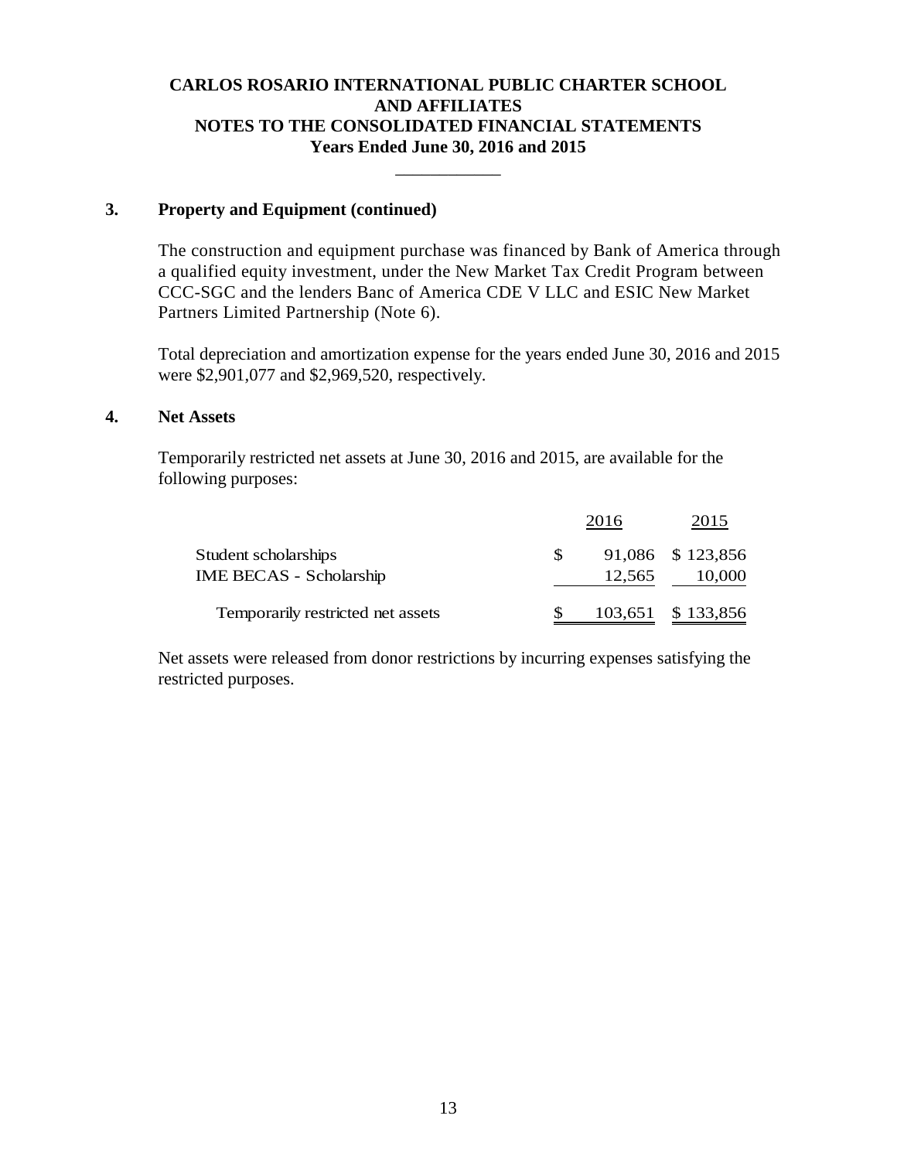\_\_\_\_\_\_\_\_\_\_\_\_

### **3. Property and Equipment (continued)**

The construction and equipment purchase was financed by Bank of America through a qualified equity investment, under the New Market Tax Credit Program between CCC-SGC and the lenders Banc of America CDE V LLC and ESIC New Market Partners Limited Partnership (Note 6).

Total depreciation and amortization expense for the years ended June 30, 2016 and 2015 were \$2,901,077 and \$2,969,520, respectively.

#### **4. Net Assets**

Temporarily restricted net assets at June 30, 2016 and 2015, are available for the following purposes:

|                                   | 2016   | 2015              |
|-----------------------------------|--------|-------------------|
| Student scholarships              |        | 91,086 \$123,856  |
| <b>IME BECAS - Scholarship</b>    | 12,565 | 10,000            |
| Temporarily restricted net assets |        | 103,651 \$133,856 |

Net assets were released from donor restrictions by incurring expenses satisfying the restricted purposes.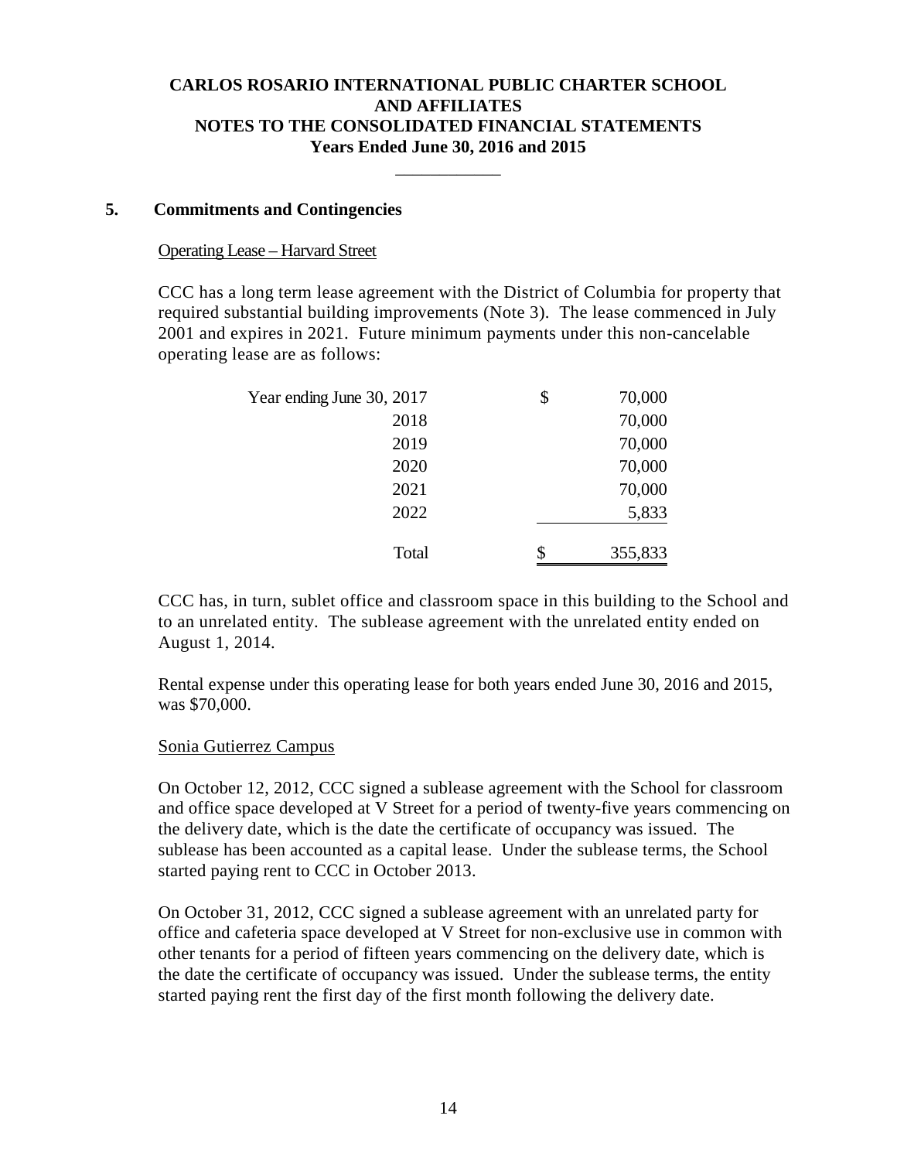\_\_\_\_\_\_\_\_\_\_\_\_

#### **5. Commitments and Contingencies**

#### Operating Lease – Harvard Street

CCC has a long term lease agreement with the District of Columbia for property that required substantial building improvements (Note 3). The lease commenced in July 2001 and expires in 2021. Future minimum payments under this non-cancelable operating lease are as follows:

| Year ending June 30, 2017 | \$<br>70,000  |
|---------------------------|---------------|
| 2018                      | 70,000        |
| 2019                      | 70,000        |
| 2020                      | 70,000        |
| 2021                      | 70,000        |
| 2022                      | 5,833         |
| Total                     | \$<br>355,833 |

CCC has, in turn, sublet office and classroom space in this building to the School and to an unrelated entity. The sublease agreement with the unrelated entity ended on August 1, 2014.

Rental expense under this operating lease for both years ended June 30, 2016 and 2015, was \$70,000.

#### Sonia Gutierrez Campus

On October 12, 2012, CCC signed a sublease agreement with the School for classroom and office space developed at V Street for a period of twenty-five years commencing on the delivery date, which is the date the certificate of occupancy was issued. The sublease has been accounted as a capital lease. Under the sublease terms, the School started paying rent to CCC in October 2013.

On October 31, 2012, CCC signed a sublease agreement with an unrelated party for office and cafeteria space developed at V Street for non-exclusive use in common with other tenants for a period of fifteen years commencing on the delivery date, which is the date the certificate of occupancy was issued. Under the sublease terms, the entity started paying rent the first day of the first month following the delivery date.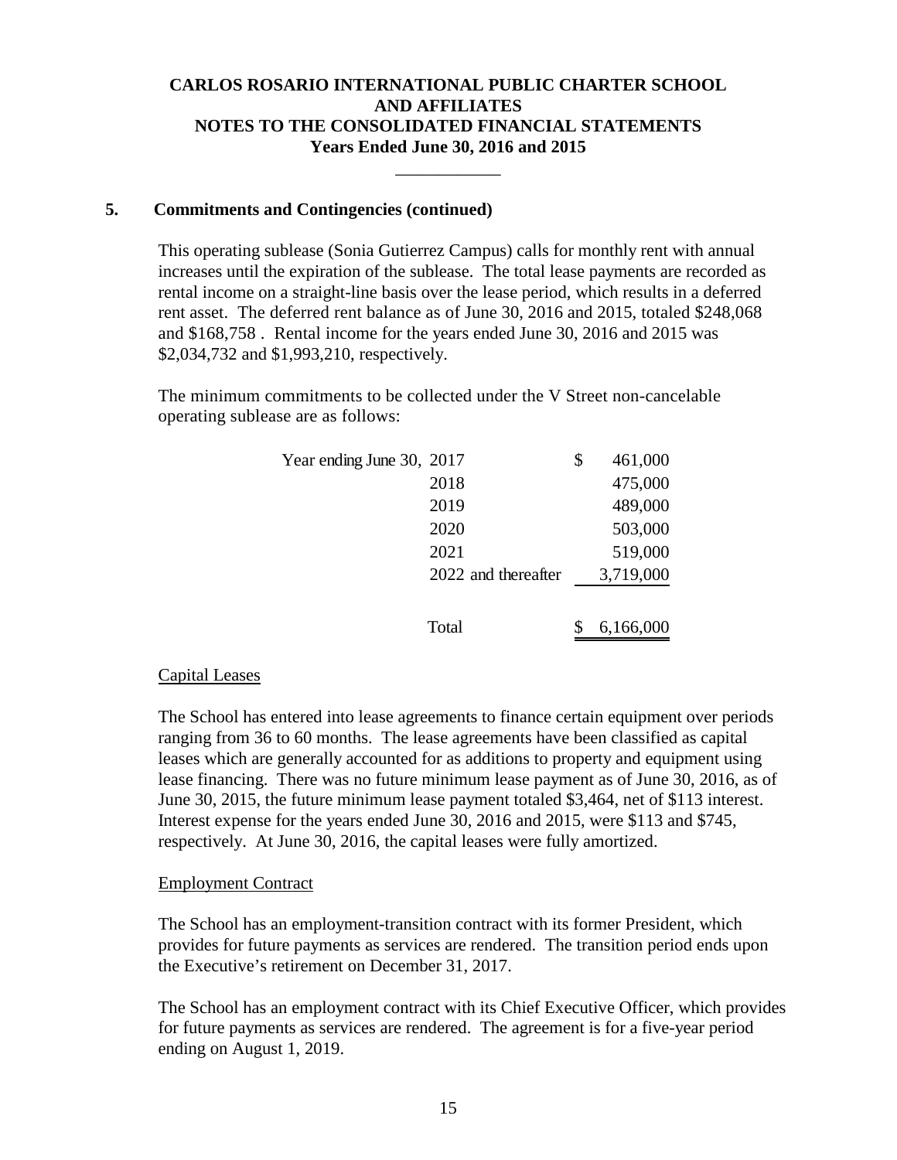\_\_\_\_\_\_\_\_\_\_\_\_

### **5. Commitments and Contingencies (continued)**

This operating sublease (Sonia Gutierrez Campus) calls for monthly rent with annual increases until the expiration of the sublease. The total lease payments are recorded as rental income on a straight-line basis over the lease period, which results in a deferred rent asset. The deferred rent balance as of June 30, 2016 and 2015, totaled \$248,068 and \$168,758 . Rental income for the years ended June 30, 2016 and 2015 was \$2,034,732 and \$1,993,210, respectively.

The minimum commitments to be collected under the V Street non-cancelable operating sublease are as follows:

| Year ending June 30, 2017 |                     | \$<br>461,000 |
|---------------------------|---------------------|---------------|
|                           | 2018                | 475,000       |
|                           | 2019                | 489,000       |
|                           | 2020                | 503,000       |
|                           | 2021                | 519,000       |
|                           | 2022 and thereafter | 3,719,000     |
|                           | Total               | 6,166,000     |

### Capital Leases

The School has entered into lease agreements to finance certain equipment over periods ranging from 36 to 60 months. The lease agreements have been classified as capital leases which are generally accounted for as additions to property and equipment using lease financing. There was no future minimum lease payment as of June 30, 2016, as of June 30, 2015, the future minimum lease payment totaled \$3,464, net of \$113 interest. Interest expense for the years ended June 30, 2016 and 2015, were \$113 and \$745, respectively. At June 30, 2016, the capital leases were fully amortized.

### Employment Contract

The School has an employment-transition contract with its former President, which provides for future payments as services are rendered. The transition period ends upon the Executive's retirement on December 31, 2017.

The School has an employment contract with its Chief Executive Officer, which provides for future payments as services are rendered. The agreement is for a five-year period ending on August 1, 2019.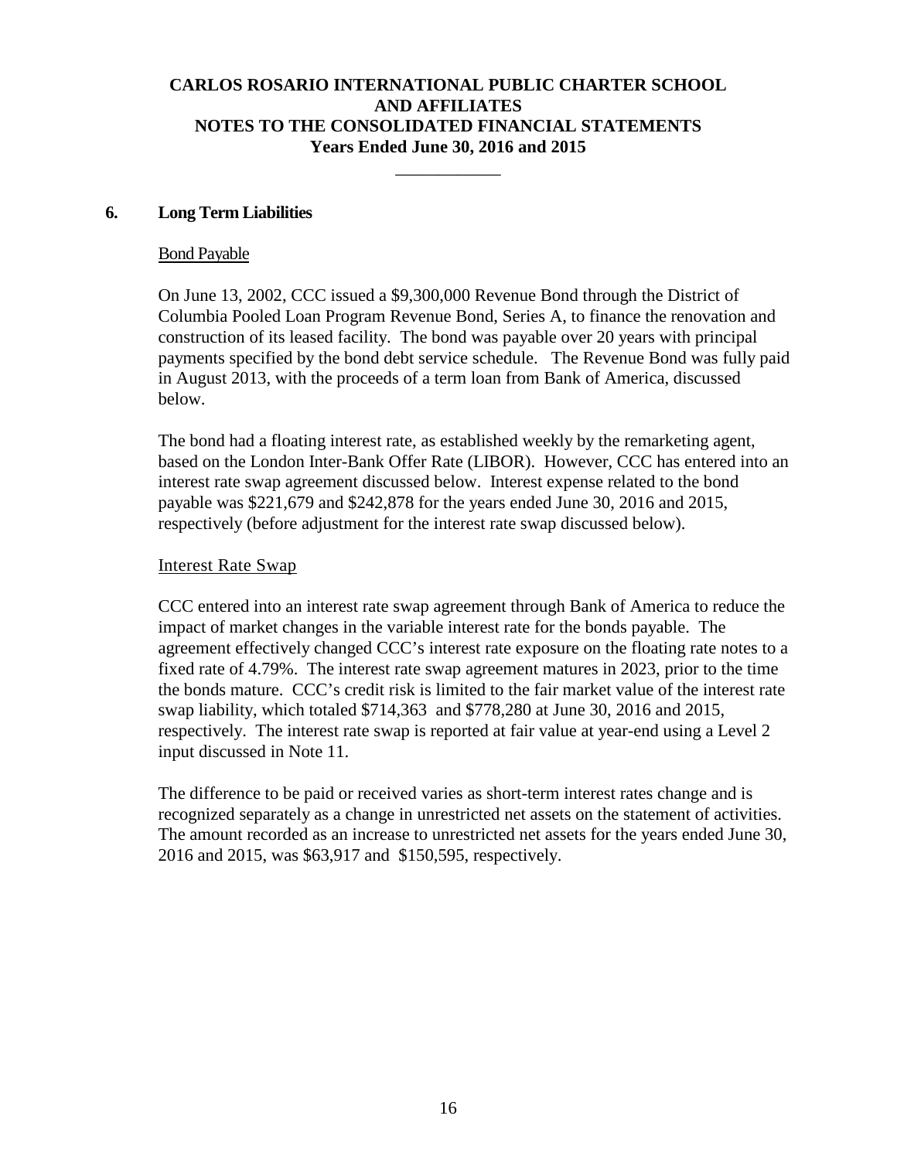\_\_\_\_\_\_\_\_\_\_\_\_

#### **6. Long Term Liabilities**

#### Bond Payable

 On June 13, 2002, CCC issued a \$9,300,000 Revenue Bond through the District of Columbia Pooled Loan Program Revenue Bond, Series A, to finance the renovation and construction of its leased facility. The bond was payable over 20 years with principal payments specified by the bond debt service schedule. The Revenue Bond was fully paid in August 2013, with the proceeds of a term loan from Bank of America, discussed below.

The bond had a floating interest rate, as established weekly by the remarketing agent, based on the London Inter-Bank Offer Rate (LIBOR). However, CCC has entered into an interest rate swap agreement discussed below. Interest expense related to the bond payable was \$221,679 and \$242,878 for the years ended June 30, 2016 and 2015, respectively (before adjustment for the interest rate swap discussed below).

#### Interest Rate Swap

CCC entered into an interest rate swap agreement through Bank of America to reduce the impact of market changes in the variable interest rate for the bonds payable. The agreement effectively changed CCC's interest rate exposure on the floating rate notes to a fixed rate of 4.79%. The interest rate swap agreement matures in 2023, prior to the time the bonds mature. CCC's credit risk is limited to the fair market value of the interest rate swap liability, which totaled \$714,363 and \$778,280 at June 30, 2016 and 2015, respectively. The interest rate swap is reported at fair value at year-end using a Level 2 input discussed in Note 11.

The difference to be paid or received varies as short-term interest rates change and is recognized separately as a change in unrestricted net assets on the statement of activities. The amount recorded as an increase to unrestricted net assets for the years ended June 30, 2016 and 2015, was \$63,917 and \$150,595, respectively.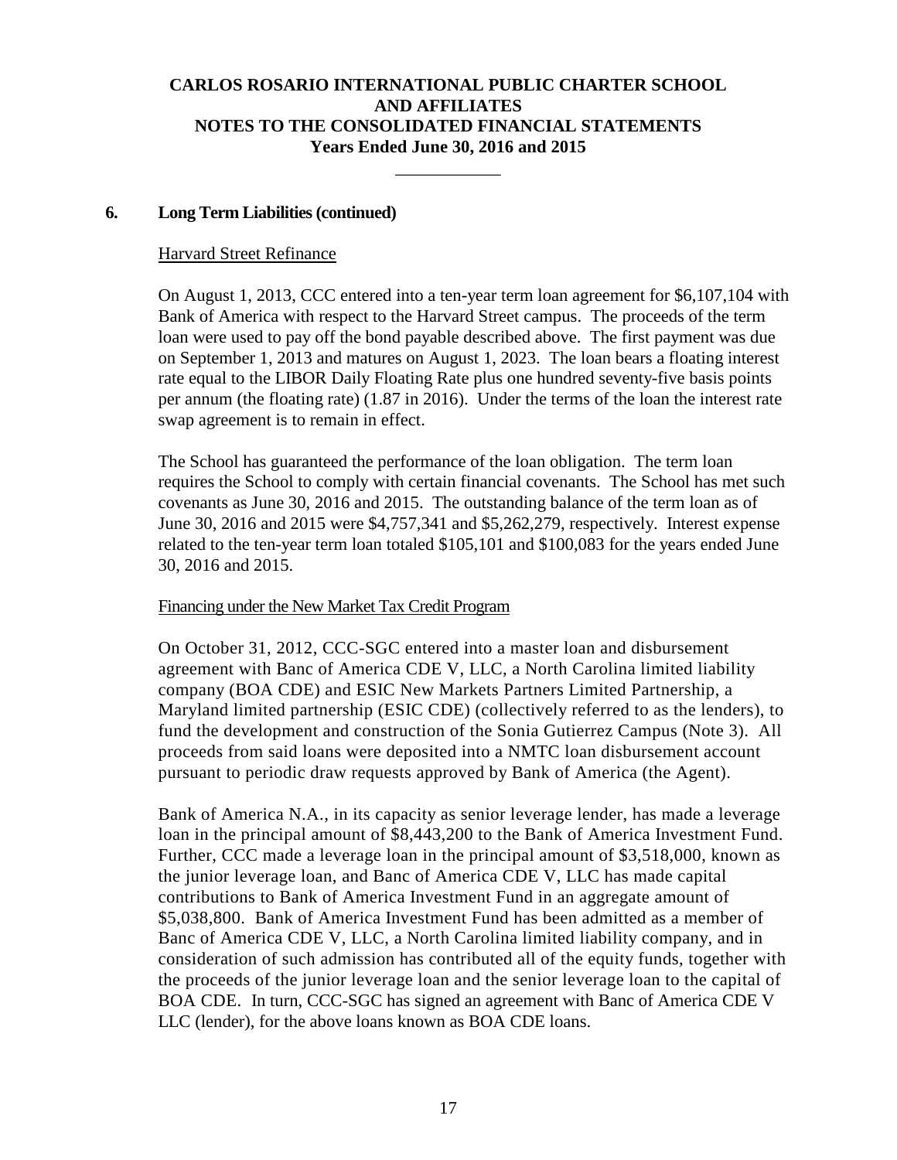\_\_\_\_\_\_\_\_\_\_\_\_

#### **6. Long Term Liabilities (continued)**

#### Harvard Street Refinance

 On August 1, 2013, CCC entered into a ten-year term loan agreement for \$6,107,104 with Bank of America with respect to the Harvard Street campus. The proceeds of the term loan were used to pay off the bond payable described above. The first payment was due on September 1, 2013 and matures on August 1, 2023. The loan bears a floating interest rate equal to the LIBOR Daily Floating Rate plus one hundred seventy-five basis points per annum (the floating rate) (1.87 in 2016). Under the terms of the loan the interest rate swap agreement is to remain in effect.

 The School has guaranteed the performance of the loan obligation. The term loan requires the School to comply with certain financial covenants. The School has met such covenants as June 30, 2016 and 2015. The outstanding balance of the term loan as of June 30, 2016 and 2015 were \$4,757,341 and \$5,262,279, respectively. Interest expense related to the ten-year term loan totaled \$105,101 and \$100,083 for the years ended June 30, 2016 and 2015.

#### Financing under the New Market Tax Credit Program

 On October 31, 2012, CCC-SGC entered into a master loan and disbursement agreement with Banc of America CDE V, LLC, a North Carolina limited liability company (BOA CDE) and ESIC New Markets Partners Limited Partnership, a Maryland limited partnership (ESIC CDE) (collectively referred to as the lenders), to fund the development and construction of the Sonia Gutierrez Campus (Note 3). All proceeds from said loans were deposited into a NMTC loan disbursement account pursuant to periodic draw requests approved by Bank of America (the Agent).

Bank of America N.A., in its capacity as senior leverage lender, has made a leverage loan in the principal amount of \$8,443,200 to the Bank of America Investment Fund. Further, CCC made a leverage loan in the principal amount of \$3,518,000, known as the junior leverage loan, and Banc of America CDE V, LLC has made capital contributions to Bank of America Investment Fund in an aggregate amount of \$5,038,800. Bank of America Investment Fund has been admitted as a member of Banc of America CDE V, LLC, a North Carolina limited liability company, and in consideration of such admission has contributed all of the equity funds, together with the proceeds of the junior leverage loan and the senior leverage loan to the capital of BOA CDE. In turn, CCC-SGC has signed an agreement with Banc of America CDE V LLC (lender), for the above loans known as BOA CDE loans.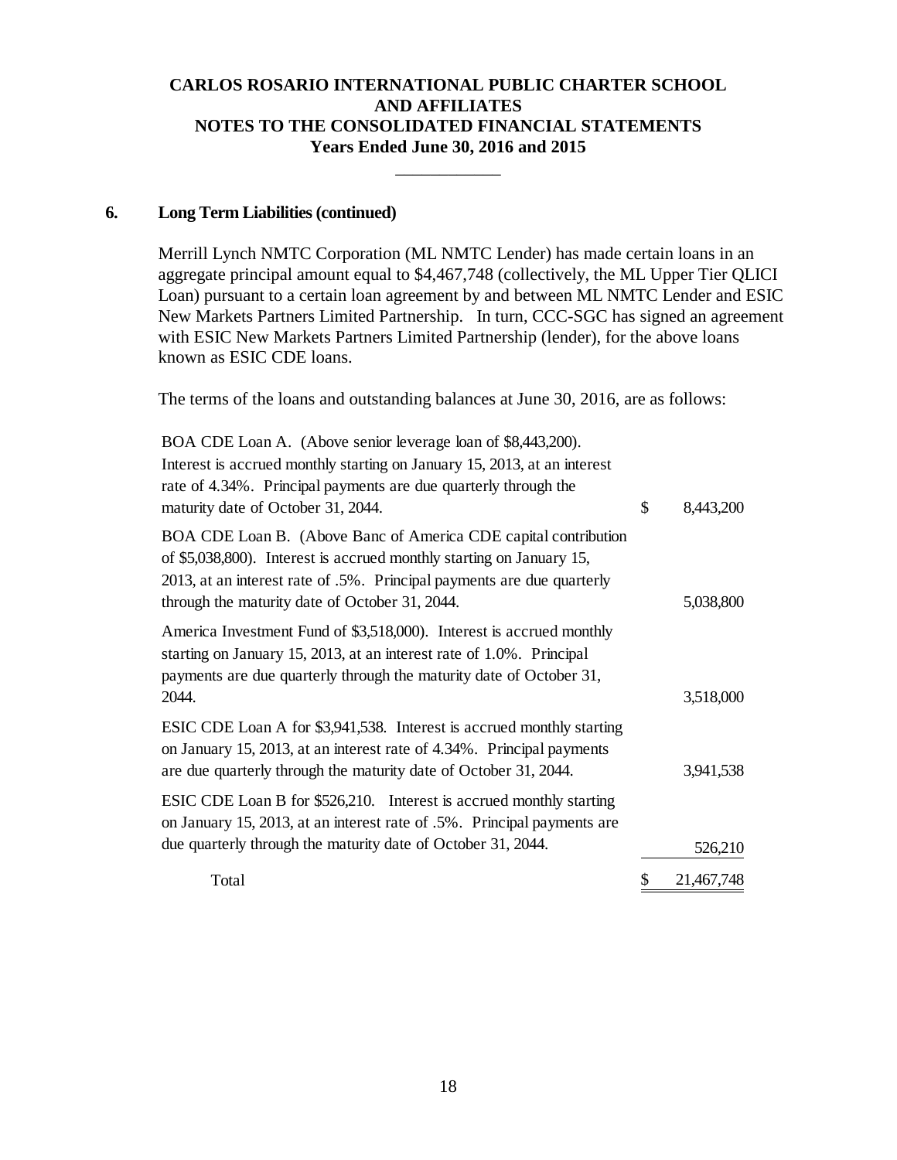\_\_\_\_\_\_\_\_\_\_\_\_

### **6. Long Term Liabilities (continued)**

 Merrill Lynch NMTC Corporation (ML NMTC Lender) has made certain loans in an aggregate principal amount equal to \$4,467,748 (collectively, the ML Upper Tier QLICI Loan) pursuant to a certain loan agreement by and between ML NMTC Lender and ESIC New Markets Partners Limited Partnership. In turn, CCC-SGC has signed an agreement with ESIC New Markets Partners Limited Partnership (lender), for the above loans known as ESIC CDE loans.

The terms of the loans and outstanding balances at June 30, 2016, are as follows:

| BOA CDE Loan A. (Above senior leverage loan of \$8,443,200).<br>Interest is accrued monthly starting on January 15, 2013, at an interest<br>rate of 4.34%. Principal payments are due quarterly through the                                                         |                  |
|---------------------------------------------------------------------------------------------------------------------------------------------------------------------------------------------------------------------------------------------------------------------|------------------|
| maturity date of October 31, 2044.                                                                                                                                                                                                                                  | \$<br>8,443,200  |
| BOA CDE Loan B. (Above Banc of America CDE capital contribution<br>of \$5,038,800). Interest is accrued monthly starting on January 15,<br>2013, at an interest rate of .5%. Principal payments are due quarterly<br>through the maturity date of October 31, 2044. | 5,038,800        |
| America Investment Fund of \$3,518,000). Interest is accrued monthly<br>starting on January 15, 2013, at an interest rate of 1.0%. Principal<br>payments are due quarterly through the maturity date of October 31,<br>2044.                                        | 3,518,000        |
| ESIC CDE Loan A for \$3,941,538. Interest is accrued monthly starting<br>on January 15, 2013, at an interest rate of 4.34%. Principal payments<br>are due quarterly through the maturity date of October 31, 2044.                                                  | 3,941,538        |
| ESIC CDE Loan B for \$526,210. Interest is accrued monthly starting<br>on January 15, 2013, at an interest rate of .5%. Principal payments are<br>due quarterly through the maturity date of October 31, 2044.                                                      | 526,210          |
| Total                                                                                                                                                                                                                                                               | \$<br>21,467,748 |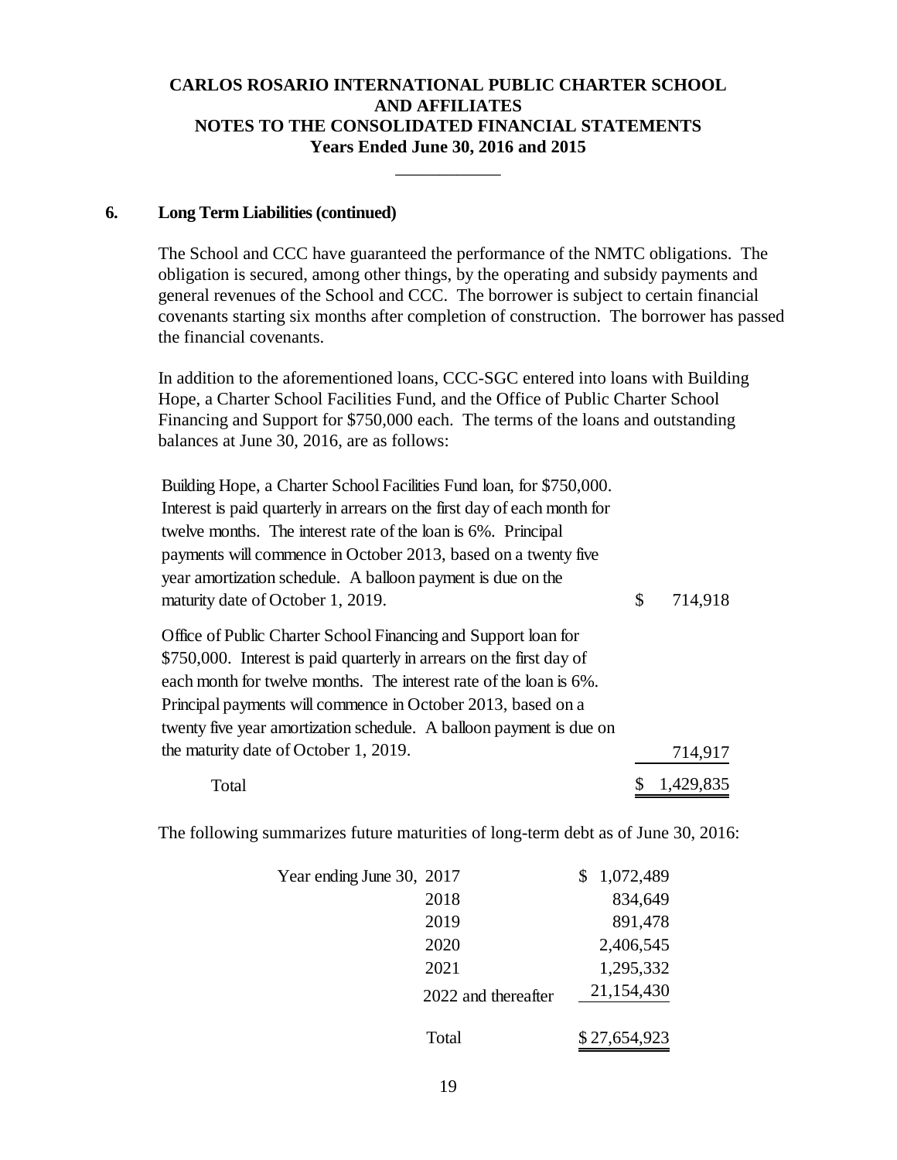\_\_\_\_\_\_\_\_\_\_\_\_

#### **6. Long Term Liabilities (continued)**

The School and CCC have guaranteed the performance of the NMTC obligations. The obligation is secured, among other things, by the operating and subsidy payments and general revenues of the School and CCC. The borrower is subject to certain financial covenants starting six months after completion of construction. The borrower has passed the financial covenants.

In addition to the aforementioned loans, CCC-SGC entered into loans with Building Hope, a Charter School Facilities Fund, and the Office of Public Charter School Financing and Support for \$750,000 each. The terms of the loans and outstanding balances at June 30, 2016, are as follows:

| Building Hope, a Charter School Facilities Fund loan, for \$750,000.     |               |
|--------------------------------------------------------------------------|---------------|
| Interest is paid quarterly in arrears on the first day of each month for |               |
| twelve months. The interest rate of the loan is 6%. Principal            |               |
| payments will commence in October 2013, based on a twenty five           |               |
| year amortization schedule. A balloon payment is due on the              |               |
| maturity date of October 1, 2019.                                        | \$<br>714,918 |
| Office of Public Charter School Financing and Support loan for           |               |
| \$750,000. Interest is paid quarterly in arrears on the first day of     |               |
| each month for twelve months. The interest rate of the loan is 6%.       |               |
| Principal payments will commence in October 2013, based on a             |               |
| twenty five year amortization schedule. A balloon payment is due on      |               |
| the maturity date of October 1, 2019.                                    | 714,917       |
| Total                                                                    | 1,429,835     |

The following summarizes future maturities of long-term debt as of June 30, 2016:

| Year ending June 30, 2017 |                     | 1,072,489    |
|---------------------------|---------------------|--------------|
|                           | 2018                | 834,649      |
|                           | 2019                | 891,478      |
|                           | 2020                | 2,406,545    |
|                           | 2021                | 1,295,332    |
|                           | 2022 and thereafter | 21,154,430   |
|                           | Total               | \$27,654,923 |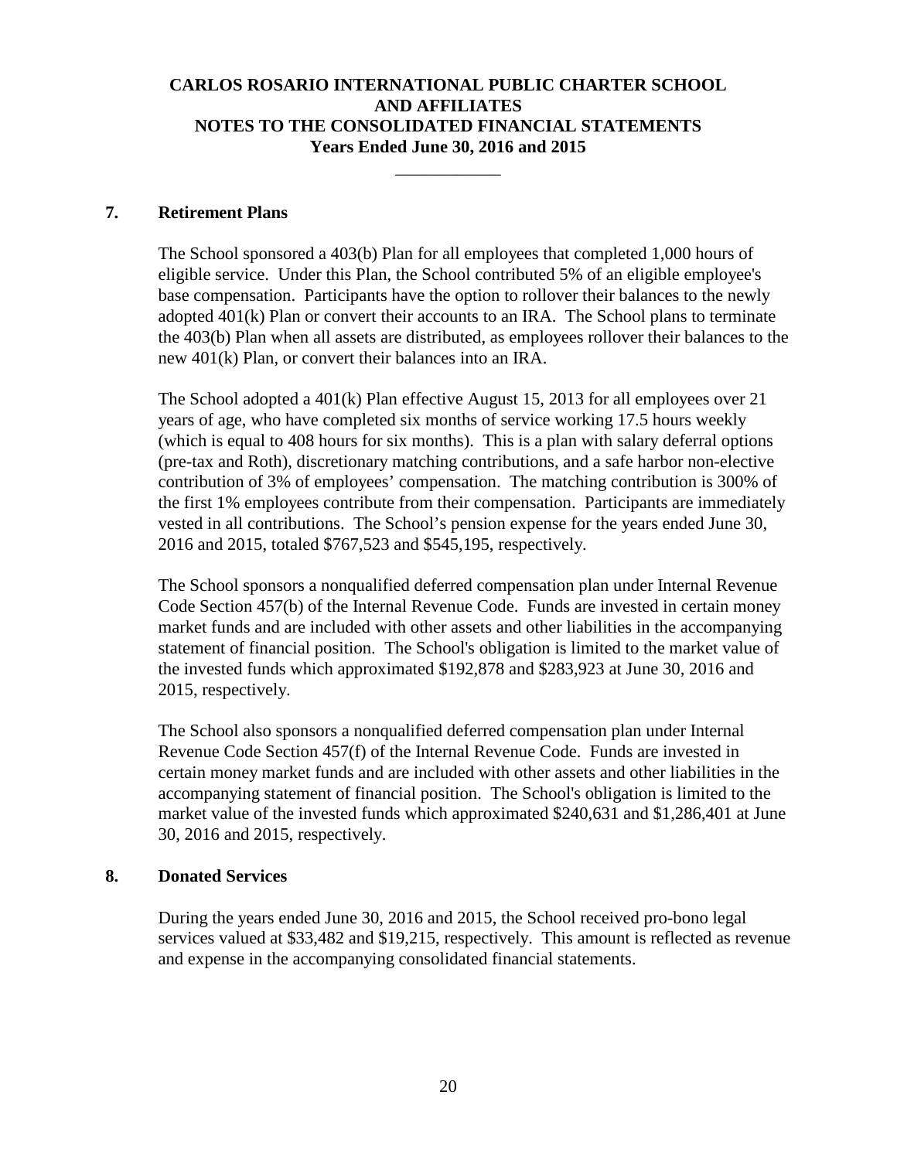\_\_\_\_\_\_\_\_\_\_\_\_

### **7. Retirement Plans**

The School sponsored a 403(b) Plan for all employees that completed 1,000 hours of eligible service. Under this Plan, the School contributed 5% of an eligible employee's base compensation. Participants have the option to rollover their balances to the newly adopted 401(k) Plan or convert their accounts to an IRA. The School plans to terminate the 403(b) Plan when all assets are distributed, as employees rollover their balances to the new 401(k) Plan, or convert their balances into an IRA.

The School adopted a 401(k) Plan effective August 15, 2013 for all employees over 21 years of age, who have completed six months of service working 17.5 hours weekly (which is equal to 408 hours for six months). This is a plan with salary deferral options (pre-tax and Roth), discretionary matching contributions, and a safe harbor non-elective contribution of 3% of employees' compensation. The matching contribution is 300% of the first 1% employees contribute from their compensation. Participants are immediately vested in all contributions. The School's pension expense for the years ended June 30, 2016 and 2015, totaled \$767,523 and \$545,195, respectively.

The School sponsors a nonqualified deferred compensation plan under Internal Revenue Code Section 457(b) of the Internal Revenue Code. Funds are invested in certain money market funds and are included with other assets and other liabilities in the accompanying statement of financial position. The School's obligation is limited to the market value of the invested funds which approximated \$192,878 and \$283,923 at June 30, 2016 and 2015, respectively.

The School also sponsors a nonqualified deferred compensation plan under Internal Revenue Code Section 457(f) of the Internal Revenue Code. Funds are invested in certain money market funds and are included with other assets and other liabilities in the accompanying statement of financial position. The School's obligation is limited to the market value of the invested funds which approximated \$240,631 and \$1,286,401 at June 30, 2016 and 2015, respectively.

#### **8. Donated Services**

During the years ended June 30, 2016 and 2015, the School received pro-bono legal services valued at \$33,482 and \$19,215, respectively. This amount is reflected as revenue and expense in the accompanying consolidated financial statements.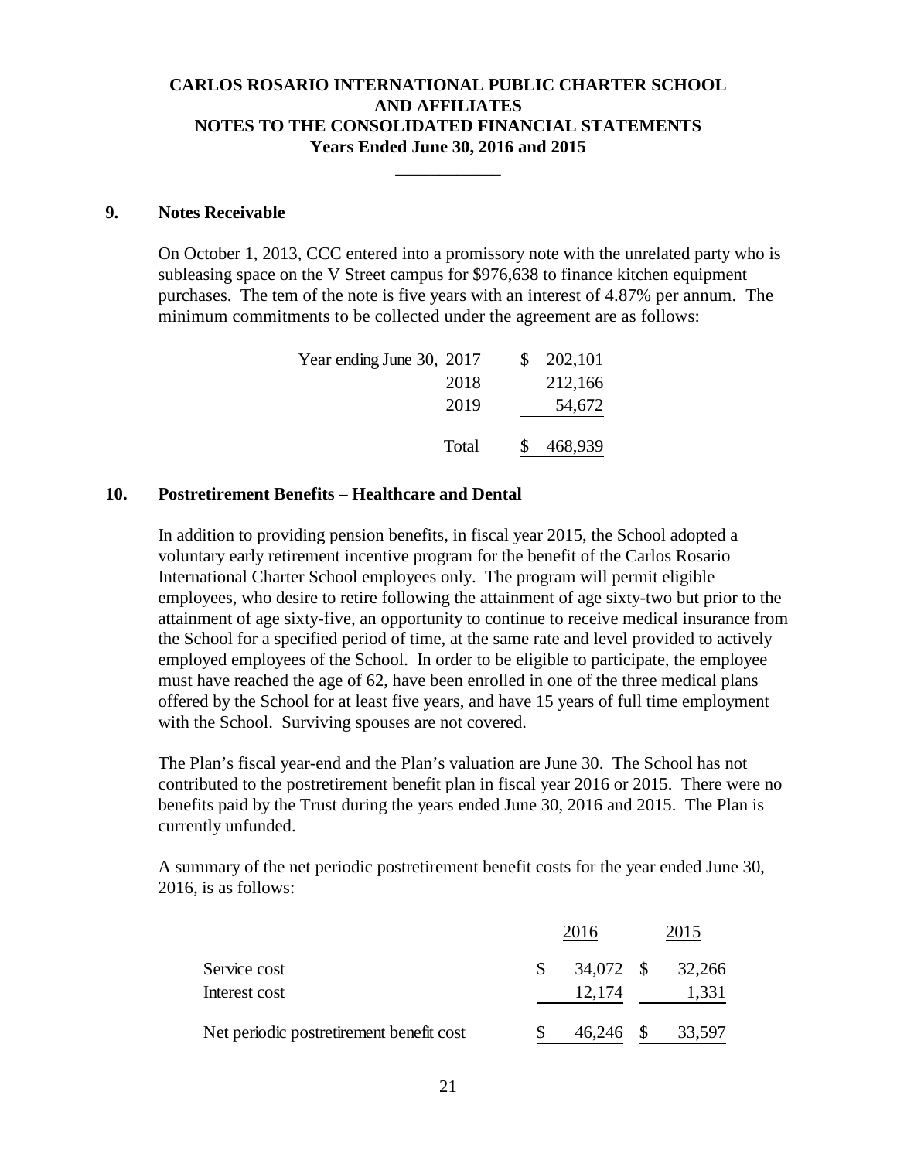\_\_\_\_\_\_\_\_\_\_\_\_

#### **9. Notes Receivable**

 On October 1, 2013, CCC entered into a promissory note with the unrelated party who is subleasing space on the V Street campus for \$976,638 to finance kitchen equipment purchases. The tem of the note is five years with an interest of 4.87% per annum. The minimum commitments to be collected under the agreement are as follows:

|                           | Total | 468,939 |
|---------------------------|-------|---------|
|                           | 2019  | 54,672  |
|                           | 2018  | 212,166 |
| Year ending June 30, 2017 |       | 202,101 |

### **10. Postretirement Benefits – Healthcare and Dental**

In addition to providing pension benefits, in fiscal year 2015, the School adopted a voluntary early retirement incentive program for the benefit of the Carlos Rosario International Charter School employees only. The program will permit eligible employees, who desire to retire following the attainment of age sixty-two but prior to the attainment of age sixty-five, an opportunity to continue to receive medical insurance from the School for a specified period of time, at the same rate and level provided to actively employed employees of the School. In order to be eligible to participate, the employee must have reached the age of 62, have been enrolled in one of the three medical plans offered by the School for at least five years, and have 15 years of full time employment with the School. Surviving spouses are not covered.

The Plan's fiscal year-end and the Plan's valuation are June 30. The School has not contributed to the postretirement benefit plan in fiscal year 2016 or 2015. There were no benefits paid by the Trust during the years ended June 30, 2016 and 2015. The Plan is currently unfunded.

 A summary of the net periodic postretirement benefit costs for the year ended June 30, 2016, is as follows:

|                                          | 2016        | 2015             |
|------------------------------------------|-------------|------------------|
| Service cost                             |             | 34,072 \$ 32,266 |
| Interest cost                            | 12,174      | 1,331            |
| Net periodic postretirement benefit cost | $46,246$ \$ | 33,597           |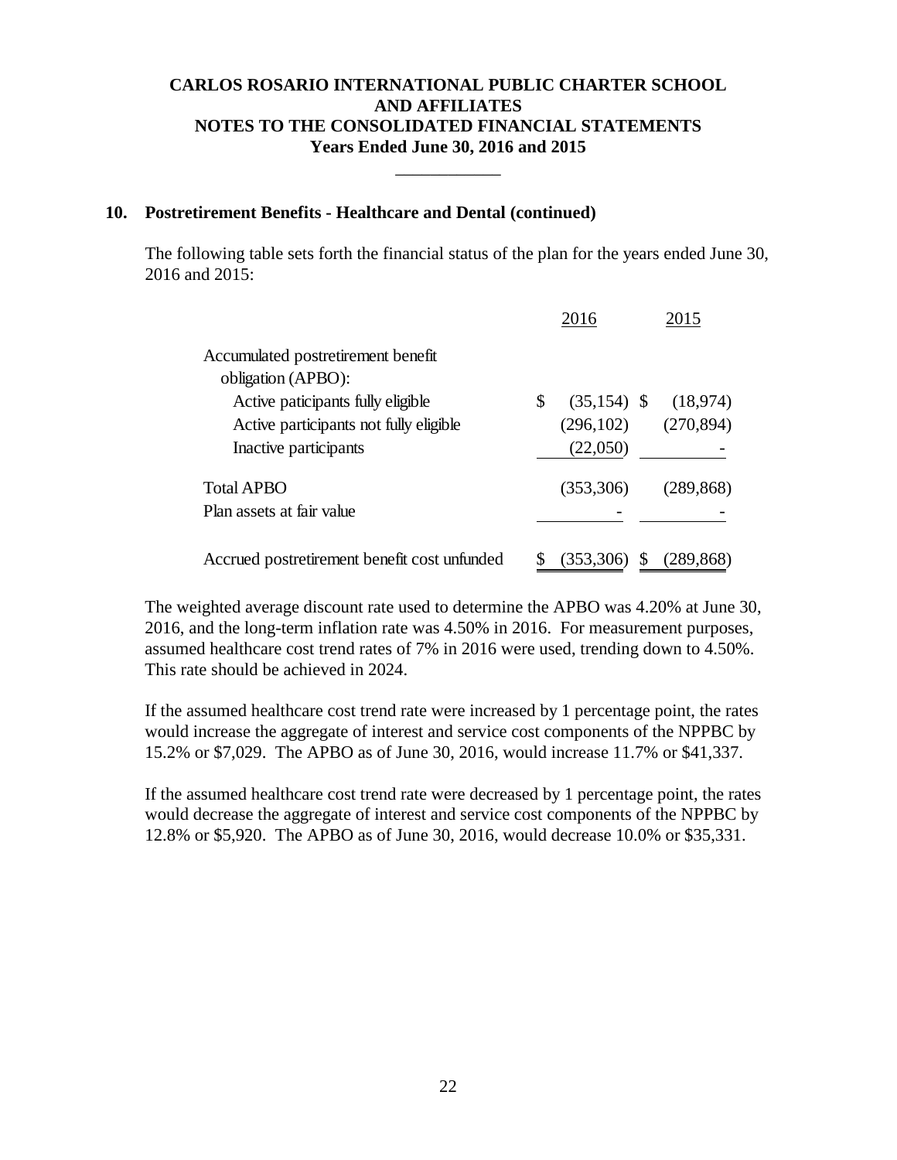\_\_\_\_\_\_\_\_\_\_\_\_

#### **10. Postretirement Benefits - Healthcare and Dental (continued)**

The following table sets forth the financial status of the plan for the years ended June 30, 2016 and 2015:

|                                                                                                      | 2016                                           | 2015                   |
|------------------------------------------------------------------------------------------------------|------------------------------------------------|------------------------|
| Accumulated postretirement benefit<br>obligation (APBO):                                             |                                                |                        |
| Active paticipants fully eligible<br>Active participants not fully eligible<br>Inactive participants | \$<br>$(35, 154)$ \$<br>(296, 102)<br>(22,050) | (18,974)<br>(270, 894) |
| <b>Total APBO</b><br>Plan assets at fair value                                                       | (353,306)                                      | (289, 868)             |
| Accrued postretirement benefit cost unfunded                                                         | (353,306)                                      | (289,868)              |

The weighted average discount rate used to determine the APBO was 4.20% at June 30, 2016, and the long-term inflation rate was 4.50% in 2016. For measurement purposes, assumed healthcare cost trend rates of 7% in 2016 were used, trending down to 4.50%. This rate should be achieved in 2024.

If the assumed healthcare cost trend rate were increased by 1 percentage point, the rates would increase the aggregate of interest and service cost components of the NPPBC by 15.2% or \$7,029. The APBO as of June 30, 2016, would increase 11.7% or \$41,337.

If the assumed healthcare cost trend rate were decreased by 1 percentage point, the rates would decrease the aggregate of interest and service cost components of the NPPBC by 12.8% or \$5,920. The APBO as of June 30, 2016, would decrease 10.0% or \$35,331.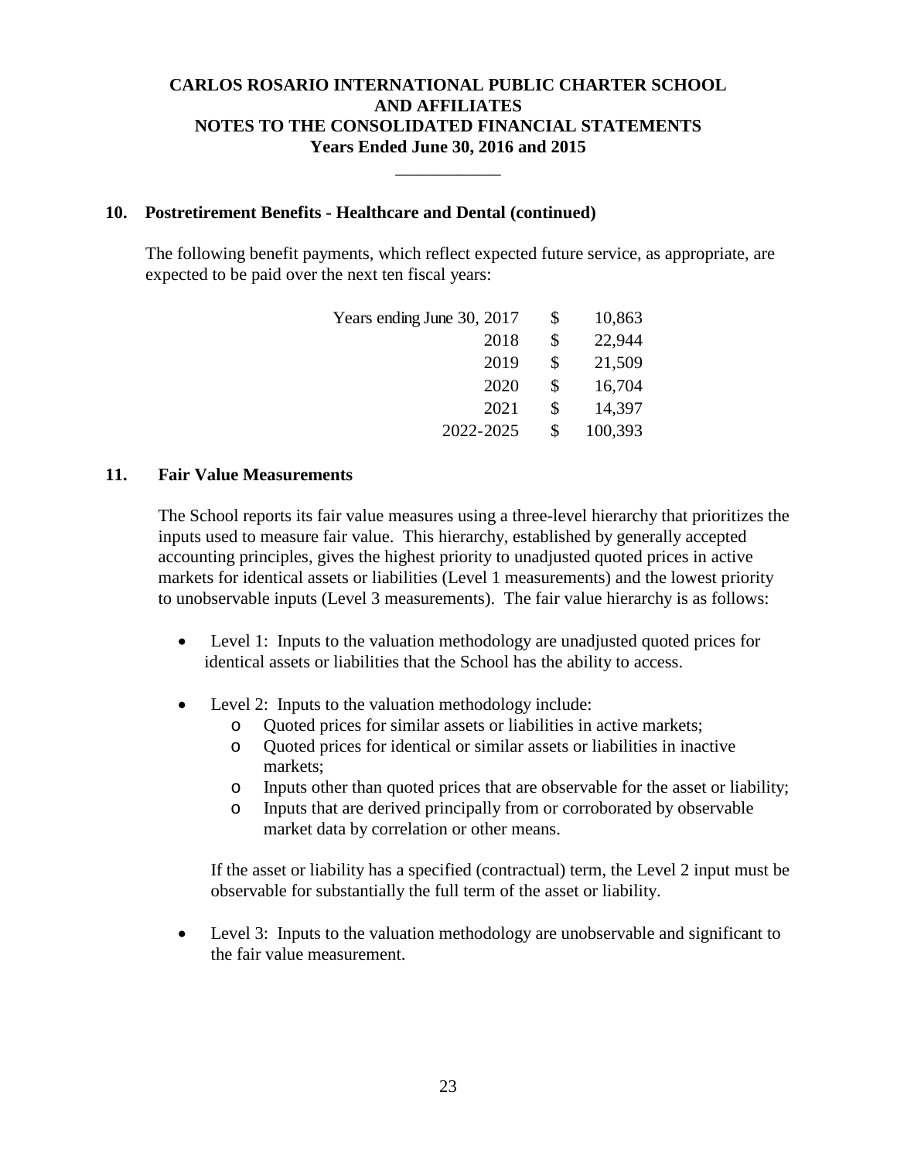\_\_\_\_\_\_\_\_\_\_\_\_

### **10. Postretirement Benefits - Healthcare and Dental (continued)**

The following benefit payments, which reflect expected future service, as appropriate, are expected to be paid over the next ten fiscal years:

| Years ending June 30, 2017 |      | \$<br>10,863  |
|----------------------------|------|---------------|
|                            | 2018 | \$<br>22,944  |
|                            | 2019 | \$<br>21,509  |
|                            | 2020 | \$<br>16,704  |
|                            | 2021 | \$<br>14,397  |
| 2022-2025                  |      | \$<br>100,393 |

#### **11. Fair Value Measurements**

The School reports its fair value measures using a three-level hierarchy that prioritizes the inputs used to measure fair value. This hierarchy, established by generally accepted accounting principles, gives the highest priority to unadjusted quoted prices in active markets for identical assets or liabilities (Level 1 measurements) and the lowest priority to unobservable inputs (Level 3 measurements). The fair value hierarchy is as follows:

- Level 1: Inputs to the valuation methodology are unadjusted quoted prices for identical assets or liabilities that the School has the ability to access.
- Level 2: Inputs to the valuation methodology include:
	- o Quoted prices for similar assets or liabilities in active markets;
	- o Quoted prices for identical or similar assets or liabilities in inactive markets;
	- o Inputs other than quoted prices that are observable for the asset or liability;
	- o Inputs that are derived principally from or corroborated by observable market data by correlation or other means.

If the asset or liability has a specified (contractual) term, the Level 2 input must be observable for substantially the full term of the asset or liability.

• Level 3: Inputs to the valuation methodology are unobservable and significant to the fair value measurement.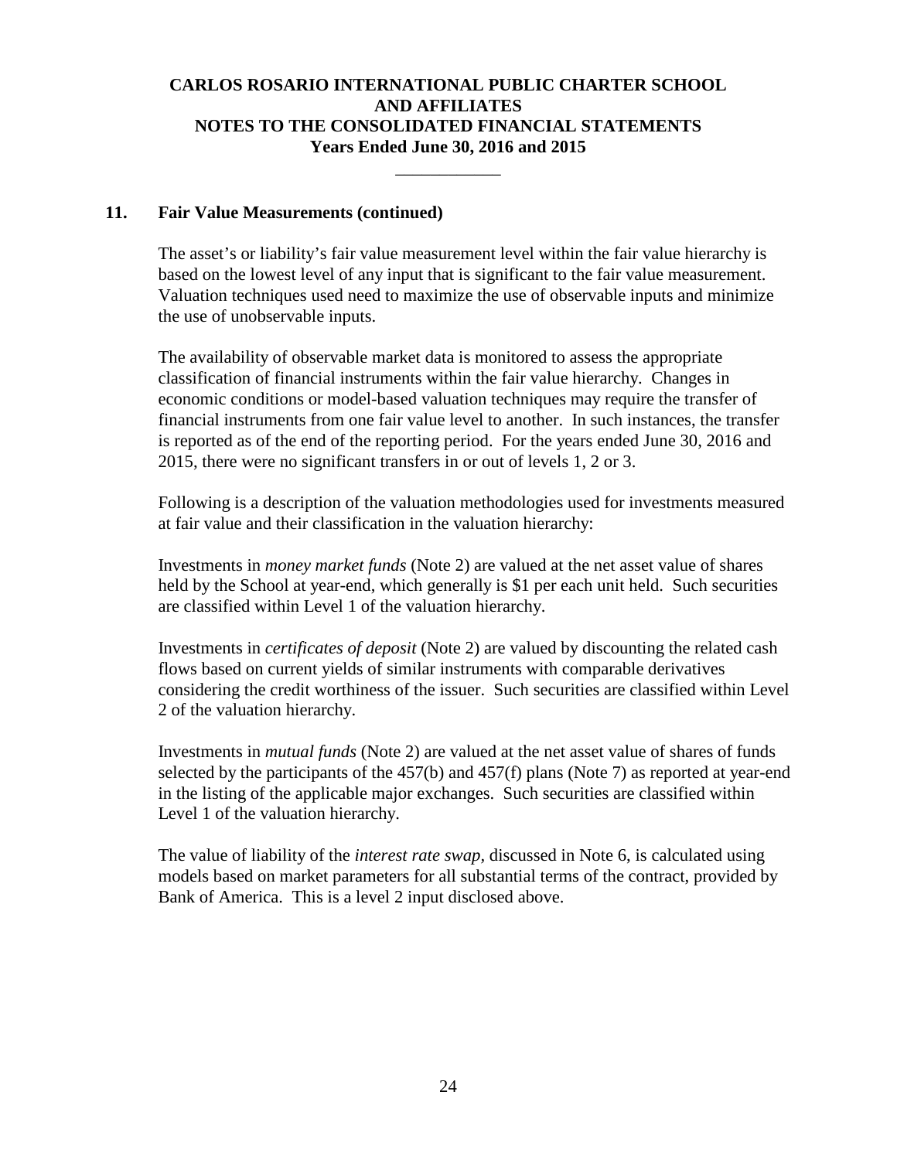\_\_\_\_\_\_\_\_\_\_\_\_

#### **11. Fair Value Measurements (continued)**

The asset's or liability's fair value measurement level within the fair value hierarchy is based on the lowest level of any input that is significant to the fair value measurement. Valuation techniques used need to maximize the use of observable inputs and minimize the use of unobservable inputs.

The availability of observable market data is monitored to assess the appropriate classification of financial instruments within the fair value hierarchy. Changes in economic conditions or model-based valuation techniques may require the transfer of financial instruments from one fair value level to another. In such instances, the transfer is reported as of the end of the reporting period. For the years ended June 30, 2016 and 2015, there were no significant transfers in or out of levels 1, 2 or 3.

Following is a description of the valuation methodologies used for investments measured at fair value and their classification in the valuation hierarchy:

Investments in *money market funds* (Note 2) are valued at the net asset value of shares held by the School at year-end, which generally is \$1 per each unit held. Such securities are classified within Level 1 of the valuation hierarchy.

Investments in *certificates of deposit* (Note 2) are valued by discounting the related cash flows based on current yields of similar instruments with comparable derivatives considering the credit worthiness of the issuer. Such securities are classified within Level 2 of the valuation hierarchy.

Investments in *mutual funds* (Note 2) are valued at the net asset value of shares of funds selected by the participants of the 457(b) and 457(f) plans (Note 7) as reported at year-end in the listing of the applicable major exchanges. Such securities are classified within Level 1 of the valuation hierarchy.

The value of liability of the *interest rate swap,* discussed in Note 6, is calculated using models based on market parameters for all substantial terms of the contract, provided by Bank of America. This is a level 2 input disclosed above.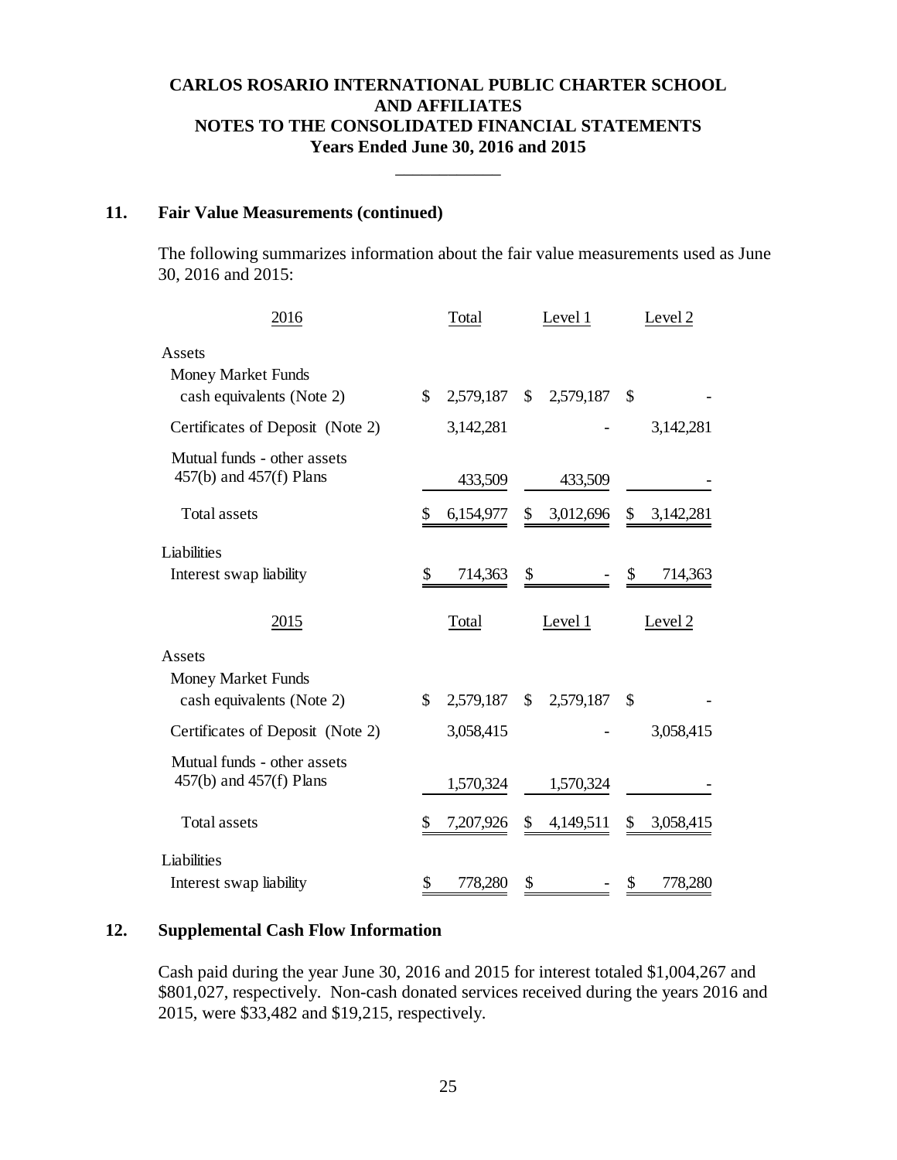\_\_\_\_\_\_\_\_\_\_\_\_

#### **11. Fair Value Measurements (continued)**

The following summarizes information about the fair value measurements used as June 30, 2016 and 2015:

| 2016                                                       |               | Total     | Level 1       |                        |               | Level 2   |
|------------------------------------------------------------|---------------|-----------|---------------|------------------------|---------------|-----------|
| Assets                                                     |               |           |               |                        |               |           |
| <b>Money Market Funds</b>                                  |               |           |               |                        |               |           |
| cash equivalents (Note 2)                                  | $\mathcal{S}$ |           |               | 2,579,187 \$ 2,579,187 | <sup>\$</sup> |           |
| Certificates of Deposit (Note 2)                           |               | 3,142,281 |               |                        |               | 3,142,281 |
| Mutual funds - other assets<br>$457(b)$ and $457(f)$ Plans |               | 433,509   |               | 433,509                |               |           |
| <b>Total assets</b>                                        | \$            | 6,154,977 |               | \$3,012,696            | \$            | 3,142,281 |
| Liabilities                                                |               |           |               |                        |               |           |
| Interest swap liability                                    | \$            | 714,363   | \$            |                        | \$            | 714,363   |
|                                                            |               |           |               |                        |               |           |
| 2015                                                       |               | Total     |               | Level 1                |               | Level 2   |
| Assets                                                     |               |           |               |                        |               |           |
| <b>Money Market Funds</b>                                  |               |           |               |                        |               |           |
| cash equivalents (Note 2)                                  | $\mathcal{S}$ | 2,579,187 | $\mathcal{S}$ | 2,579,187              | \$            |           |
| Certificates of Deposit (Note 2)                           |               | 3,058,415 |               |                        |               | 3,058,415 |
| Mutual funds - other assets                                |               |           |               |                        |               |           |
| $457(b)$ and $457(f)$ Plans                                |               | 1,570,324 |               | 1,570,324              |               |           |
| <b>Total assets</b>                                        | S             | 7,207,926 | S.            | 4,149,511              | \$            | 3,058,415 |
| Liabilities                                                |               |           |               |                        |               |           |

### **12. Supplemental Cash Flow Information**

Cash paid during the year June 30, 2016 and 2015 for interest totaled \$1,004,267 and \$801,027, respectively. Non-cash donated services received during the years 2016 and 2015, were \$33,482 and \$19,215, respectively.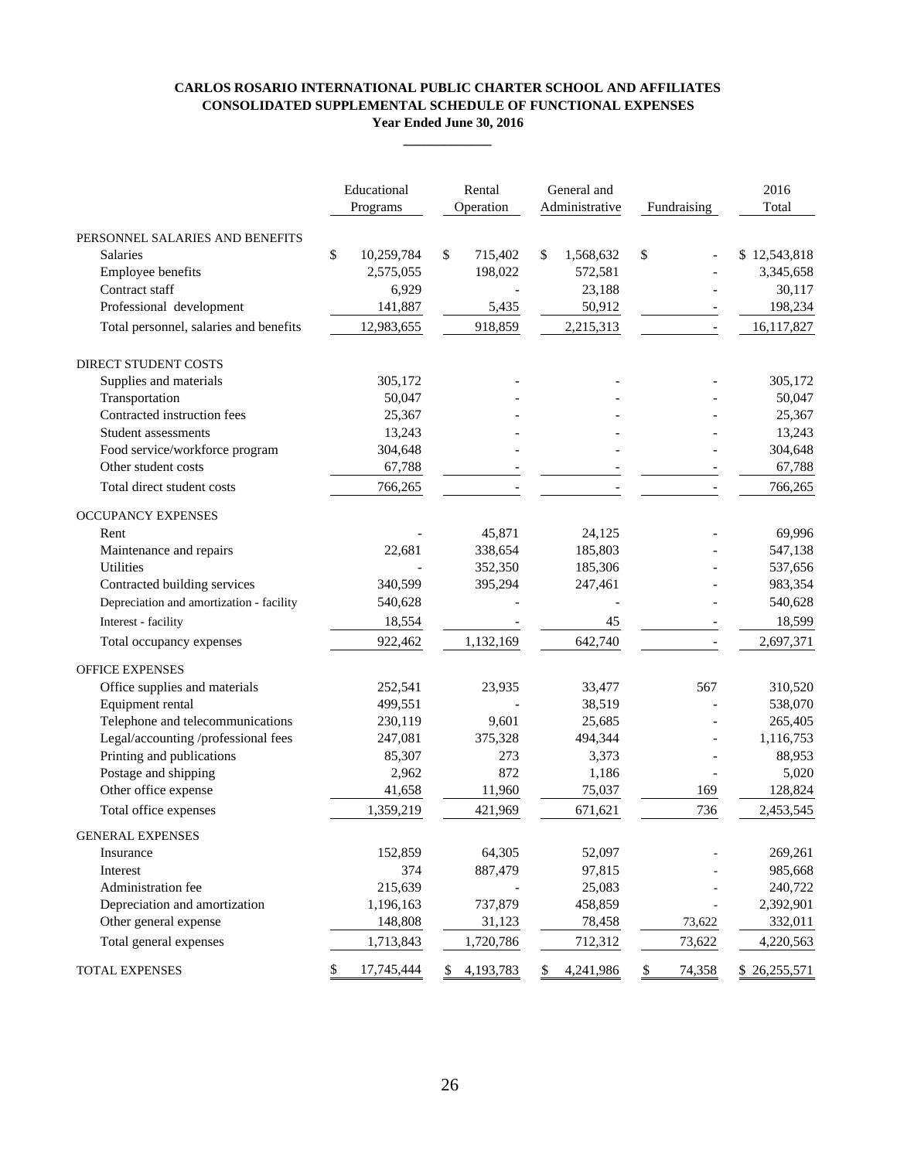#### **CARLOS ROSARIO INTERNATIONAL PUBLIC CHARTER SCHOOL AND AFFILIATES CONSOLIDATED SUPPLEMENTAL SCHEDULE OF FUNCTIONAL EXPENSES Year Ended June 30, 2016**

**\_\_\_\_\_\_\_\_\_\_\_\_\_**

|                                          | Educational<br>Programs | Rental<br>Operation | General and<br>Administrative | Fundraising  | 2016<br>Total |
|------------------------------------------|-------------------------|---------------------|-------------------------------|--------------|---------------|
| PERSONNEL SALARIES AND BENEFITS          |                         |                     |                               |              |               |
| <b>Salaries</b>                          | \$<br>10,259,784        | \$<br>715,402       | 1,568,632<br>\$               | \$           | \$12,543,818  |
| Employee benefits                        | 2,575,055               | 198,022             | 572,581                       |              | 3,345,658     |
| Contract staff                           | 6,929                   |                     | 23,188                        |              | 30,117        |
| Professional development                 | 141,887                 | 5,435               | 50,912                        |              | 198,234       |
| Total personnel, salaries and benefits   | 12,983,655              | 918,859             | 2,215,313                     |              | 16,117,827    |
| <b>DIRECT STUDENT COSTS</b>              |                         |                     |                               |              |               |
| Supplies and materials                   | 305,172                 |                     |                               |              | 305,172       |
| Transportation                           | 50,047                  |                     |                               |              | 50,047        |
| Contracted instruction fees              | 25,367                  |                     |                               |              | 25,367        |
| Student assessments                      | 13,243                  |                     |                               |              | 13,243        |
| Food service/workforce program           | 304,648                 |                     |                               |              | 304,648       |
| Other student costs                      | 67,788                  |                     |                               |              | 67,788        |
| Total direct student costs               | 766,265                 |                     |                               |              | 766,265       |
| <b>OCCUPANCY EXPENSES</b>                |                         |                     |                               |              |               |
| Rent                                     |                         | 45,871              | 24,125                        |              | 69,996        |
| Maintenance and repairs                  | 22,681                  | 338,654             | 185,803                       |              | 547,138       |
| <b>Utilities</b>                         |                         | 352,350             | 185,306                       |              | 537,656       |
| Contracted building services             | 340,599                 | 395,294             | 247,461                       |              | 983,354       |
| Depreciation and amortization - facility | 540,628                 |                     |                               |              | 540,628       |
| Interest - facility                      | 18,554                  |                     | 45                            |              | 18,599        |
| Total occupancy expenses                 | 922,462                 | 1,132,169           | 642,740                       |              | 2,697,371     |
| <b>OFFICE EXPENSES</b>                   |                         |                     |                               |              |               |
| Office supplies and materials            | 252,541                 | 23,935              | 33,477                        | 567          | 310,520       |
| Equipment rental                         | 499,551                 |                     | 38,519                        |              | 538,070       |
| Telephone and telecommunications         | 230,119                 | 9,601               | 25,685                        |              | 265,405       |
| Legal/accounting /professional fees      | 247,081                 | 375,328             | 494,344                       |              | 1,116,753     |
| Printing and publications                | 85,307                  | 273                 | 3,373                         |              | 88,953        |
| Postage and shipping                     | 2,962                   | 872                 | 1,186                         |              | 5,020         |
| Other office expense                     | 41,658                  | 11,960              | 75,037                        | 169          | 128,824       |
| Total office expenses                    | 1,359,219               | 421,969             | 671,621                       | 736          | 2,453,545     |
| <b>GENERAL EXPENSES</b>                  |                         |                     |                               |              |               |
| Insurance                                | 152,859                 | 64,305              | 52,097                        |              | 269,261       |
| Interest                                 | 374                     | 887,479             | 97,815                        |              | 985,668       |
| Administration fee                       | 215,639                 |                     | 25,083                        |              | 240,722       |
| Depreciation and amortization            | 1,196,163               | 737,879             | 458,859                       |              | 2,392,901     |
| Other general expense                    | 148,808                 | 31,123              | 78,458                        | 73,622       | 332,011       |
| Total general expenses                   | 1,713,843               | 1,720,786           | 712,312                       | 73,622       | 4,220,563     |
| TOTAL EXPENSES                           | 17,745,444<br>\$        | 4,193,783<br>\$     | 4,241,986<br>S                | \$<br>74,358 | \$26,255,571  |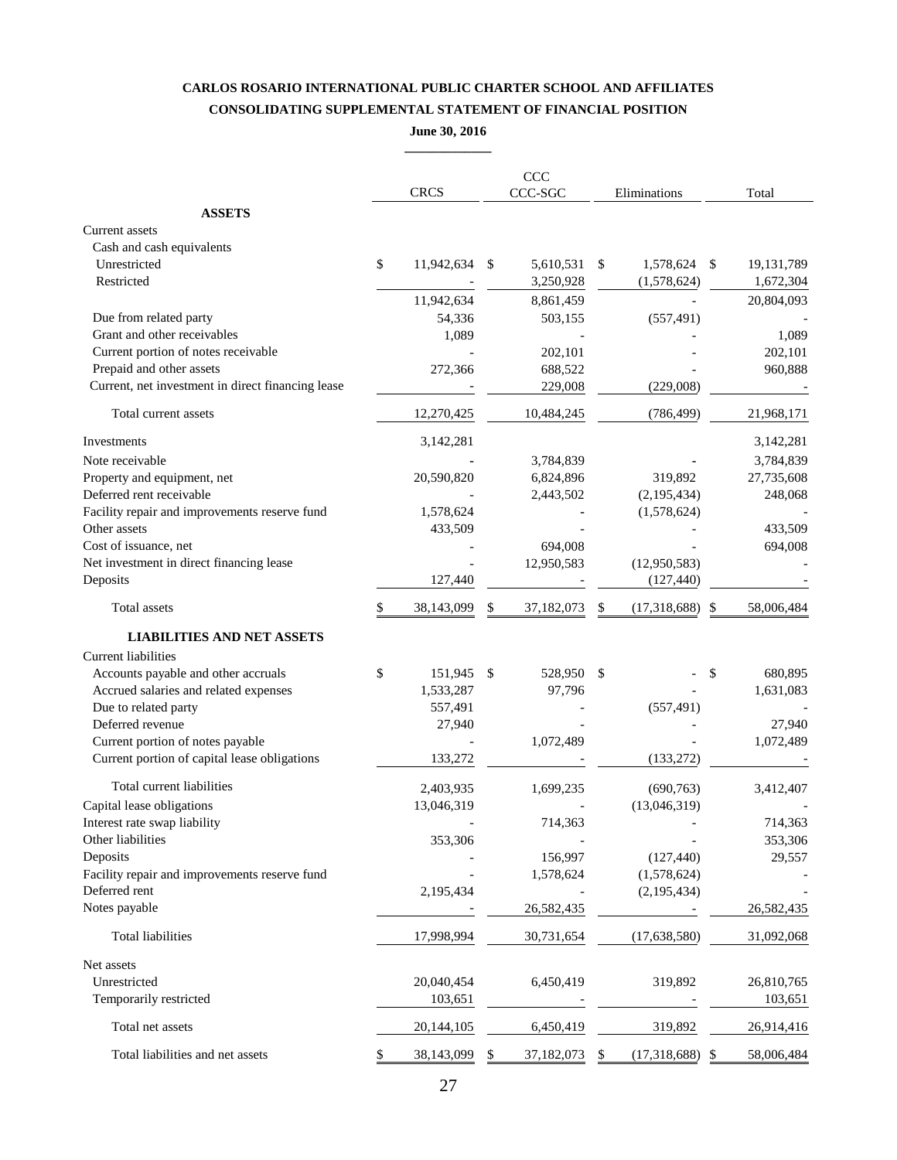### **CARLOS ROSARIO INTERNATIONAL PUBLIC CHARTER SCHOOL AND AFFILIATES CONSOLIDATING SUPPLEMENTAL STATEMENT OF FINANCIAL POSITION**

**June 30, 2016**

| CCC<br>CCC-SGC<br><b>CRCS</b><br>Eliminations<br>Total<br><b>ASSETS</b><br>Current assets<br>Cash and cash equivalents<br>Unrestricted<br>\$<br>11,942,634<br>1,578,624<br>19,131,789<br>5,610,531<br>\$<br>-S<br>\$<br>Restricted<br>3,250,928<br>(1,578,624)<br>1,672,304<br>11,942,634<br>8,861,459<br>20,804,093<br>54,336<br>Due from related party<br>503,155<br>(557, 491)<br>Grant and other receivables<br>1,089<br>1,089<br>Current portion of notes receivable<br>202,101<br>202,101<br>272,366<br>960,888<br>Prepaid and other assets<br>688,522<br>Current, net investment in direct financing lease<br>229,008<br>(229,008)<br>12,270,425<br>10,484,245<br>21,968,171<br>Total current assets<br>(786, 499)<br>3,142,281<br>3,142,281<br>Investments<br>Note receivable<br>3,784,839<br>3,784,839<br>Property and equipment, net<br>20,590,820<br>6,824,896<br>319,892<br>27,735,608<br>Deferred rent receivable<br>2,443,502<br>(2,195,434)<br>248,068<br>Facility repair and improvements reserve fund<br>1,578,624<br>(1,578,624)<br>Other assets<br>433,509<br>433,509<br>Cost of issuance, net<br>694,008<br>694,008<br>Net investment in direct financing lease<br>12,950,583<br>(12,950,583)<br>Deposits<br>127,440<br>(127, 440) |
|--------------------------------------------------------------------------------------------------------------------------------------------------------------------------------------------------------------------------------------------------------------------------------------------------------------------------------------------------------------------------------------------------------------------------------------------------------------------------------------------------------------------------------------------------------------------------------------------------------------------------------------------------------------------------------------------------------------------------------------------------------------------------------------------------------------------------------------------------------------------------------------------------------------------------------------------------------------------------------------------------------------------------------------------------------------------------------------------------------------------------------------------------------------------------------------------------------------------------------------------------------|
|                                                                                                                                                                                                                                                                                                                                                                                                                                                                                                                                                                                                                                                                                                                                                                                                                                                                                                                                                                                                                                                                                                                                                                                                                                                        |
|                                                                                                                                                                                                                                                                                                                                                                                                                                                                                                                                                                                                                                                                                                                                                                                                                                                                                                                                                                                                                                                                                                                                                                                                                                                        |
|                                                                                                                                                                                                                                                                                                                                                                                                                                                                                                                                                                                                                                                                                                                                                                                                                                                                                                                                                                                                                                                                                                                                                                                                                                                        |
|                                                                                                                                                                                                                                                                                                                                                                                                                                                                                                                                                                                                                                                                                                                                                                                                                                                                                                                                                                                                                                                                                                                                                                                                                                                        |
|                                                                                                                                                                                                                                                                                                                                                                                                                                                                                                                                                                                                                                                                                                                                                                                                                                                                                                                                                                                                                                                                                                                                                                                                                                                        |
|                                                                                                                                                                                                                                                                                                                                                                                                                                                                                                                                                                                                                                                                                                                                                                                                                                                                                                                                                                                                                                                                                                                                                                                                                                                        |
|                                                                                                                                                                                                                                                                                                                                                                                                                                                                                                                                                                                                                                                                                                                                                                                                                                                                                                                                                                                                                                                                                                                                                                                                                                                        |
|                                                                                                                                                                                                                                                                                                                                                                                                                                                                                                                                                                                                                                                                                                                                                                                                                                                                                                                                                                                                                                                                                                                                                                                                                                                        |
|                                                                                                                                                                                                                                                                                                                                                                                                                                                                                                                                                                                                                                                                                                                                                                                                                                                                                                                                                                                                                                                                                                                                                                                                                                                        |
|                                                                                                                                                                                                                                                                                                                                                                                                                                                                                                                                                                                                                                                                                                                                                                                                                                                                                                                                                                                                                                                                                                                                                                                                                                                        |
|                                                                                                                                                                                                                                                                                                                                                                                                                                                                                                                                                                                                                                                                                                                                                                                                                                                                                                                                                                                                                                                                                                                                                                                                                                                        |
|                                                                                                                                                                                                                                                                                                                                                                                                                                                                                                                                                                                                                                                                                                                                                                                                                                                                                                                                                                                                                                                                                                                                                                                                                                                        |
|                                                                                                                                                                                                                                                                                                                                                                                                                                                                                                                                                                                                                                                                                                                                                                                                                                                                                                                                                                                                                                                                                                                                                                                                                                                        |
|                                                                                                                                                                                                                                                                                                                                                                                                                                                                                                                                                                                                                                                                                                                                                                                                                                                                                                                                                                                                                                                                                                                                                                                                                                                        |
|                                                                                                                                                                                                                                                                                                                                                                                                                                                                                                                                                                                                                                                                                                                                                                                                                                                                                                                                                                                                                                                                                                                                                                                                                                                        |
|                                                                                                                                                                                                                                                                                                                                                                                                                                                                                                                                                                                                                                                                                                                                                                                                                                                                                                                                                                                                                                                                                                                                                                                                                                                        |
|                                                                                                                                                                                                                                                                                                                                                                                                                                                                                                                                                                                                                                                                                                                                                                                                                                                                                                                                                                                                                                                                                                                                                                                                                                                        |
|                                                                                                                                                                                                                                                                                                                                                                                                                                                                                                                                                                                                                                                                                                                                                                                                                                                                                                                                                                                                                                                                                                                                                                                                                                                        |
|                                                                                                                                                                                                                                                                                                                                                                                                                                                                                                                                                                                                                                                                                                                                                                                                                                                                                                                                                                                                                                                                                                                                                                                                                                                        |
|                                                                                                                                                                                                                                                                                                                                                                                                                                                                                                                                                                                                                                                                                                                                                                                                                                                                                                                                                                                                                                                                                                                                                                                                                                                        |
|                                                                                                                                                                                                                                                                                                                                                                                                                                                                                                                                                                                                                                                                                                                                                                                                                                                                                                                                                                                                                                                                                                                                                                                                                                                        |
|                                                                                                                                                                                                                                                                                                                                                                                                                                                                                                                                                                                                                                                                                                                                                                                                                                                                                                                                                                                                                                                                                                                                                                                                                                                        |
|                                                                                                                                                                                                                                                                                                                                                                                                                                                                                                                                                                                                                                                                                                                                                                                                                                                                                                                                                                                                                                                                                                                                                                                                                                                        |
| Total assets<br>\$<br>38,143,099<br>37,182,073<br>(17,318,688)<br>\$<br>58,006,484                                                                                                                                                                                                                                                                                                                                                                                                                                                                                                                                                                                                                                                                                                                                                                                                                                                                                                                                                                                                                                                                                                                                                                     |
| <b>LIABILITIES AND NET ASSETS</b>                                                                                                                                                                                                                                                                                                                                                                                                                                                                                                                                                                                                                                                                                                                                                                                                                                                                                                                                                                                                                                                                                                                                                                                                                      |
| Current liabilities                                                                                                                                                                                                                                                                                                                                                                                                                                                                                                                                                                                                                                                                                                                                                                                                                                                                                                                                                                                                                                                                                                                                                                                                                                    |
| Accounts payable and other accruals<br>\$<br>151,945<br><sup>\$</sup><br>528,950<br>\$<br>680,895<br>\$                                                                                                                                                                                                                                                                                                                                                                                                                                                                                                                                                                                                                                                                                                                                                                                                                                                                                                                                                                                                                                                                                                                                                |
| Accrued salaries and related expenses<br>1,533,287<br>97,796<br>1,631,083                                                                                                                                                                                                                                                                                                                                                                                                                                                                                                                                                                                                                                                                                                                                                                                                                                                                                                                                                                                                                                                                                                                                                                              |
| Due to related party<br>557,491<br>(557, 491)                                                                                                                                                                                                                                                                                                                                                                                                                                                                                                                                                                                                                                                                                                                                                                                                                                                                                                                                                                                                                                                                                                                                                                                                          |
| Deferred revenue<br>27,940<br>27,940                                                                                                                                                                                                                                                                                                                                                                                                                                                                                                                                                                                                                                                                                                                                                                                                                                                                                                                                                                                                                                                                                                                                                                                                                   |
| Current portion of notes payable<br>1,072,489<br>1,072,489                                                                                                                                                                                                                                                                                                                                                                                                                                                                                                                                                                                                                                                                                                                                                                                                                                                                                                                                                                                                                                                                                                                                                                                             |
| Current portion of capital lease obligations<br>133,272<br>(133, 272)                                                                                                                                                                                                                                                                                                                                                                                                                                                                                                                                                                                                                                                                                                                                                                                                                                                                                                                                                                                                                                                                                                                                                                                  |
| Total current liabilities<br>2,403,935<br>1,699,235<br>(690, 763)<br>3,412,407                                                                                                                                                                                                                                                                                                                                                                                                                                                                                                                                                                                                                                                                                                                                                                                                                                                                                                                                                                                                                                                                                                                                                                         |
| Capital lease obligations<br>13,046,319<br>(13,046,319)                                                                                                                                                                                                                                                                                                                                                                                                                                                                                                                                                                                                                                                                                                                                                                                                                                                                                                                                                                                                                                                                                                                                                                                                |
| Interest rate swap liability<br>714,363<br>714,363                                                                                                                                                                                                                                                                                                                                                                                                                                                                                                                                                                                                                                                                                                                                                                                                                                                                                                                                                                                                                                                                                                                                                                                                     |
| Other liabilities<br>353,306<br>353,306                                                                                                                                                                                                                                                                                                                                                                                                                                                                                                                                                                                                                                                                                                                                                                                                                                                                                                                                                                                                                                                                                                                                                                                                                |
| Deposits<br>156,997<br>(127, 440)<br>29,557                                                                                                                                                                                                                                                                                                                                                                                                                                                                                                                                                                                                                                                                                                                                                                                                                                                                                                                                                                                                                                                                                                                                                                                                            |
| Facility repair and improvements reserve fund<br>1,578,624<br>(1,578,624)                                                                                                                                                                                                                                                                                                                                                                                                                                                                                                                                                                                                                                                                                                                                                                                                                                                                                                                                                                                                                                                                                                                                                                              |
| Deferred rent<br>2,195,434<br>(2,195,434)                                                                                                                                                                                                                                                                                                                                                                                                                                                                                                                                                                                                                                                                                                                                                                                                                                                                                                                                                                                                                                                                                                                                                                                                              |
| Notes payable<br>26,582,435<br>26,582,435                                                                                                                                                                                                                                                                                                                                                                                                                                                                                                                                                                                                                                                                                                                                                                                                                                                                                                                                                                                                                                                                                                                                                                                                              |
| Total liabilities<br>17,998,994<br>(17,638,580)<br>31,092,068<br>30,731,654                                                                                                                                                                                                                                                                                                                                                                                                                                                                                                                                                                                                                                                                                                                                                                                                                                                                                                                                                                                                                                                                                                                                                                            |
| Net assets                                                                                                                                                                                                                                                                                                                                                                                                                                                                                                                                                                                                                                                                                                                                                                                                                                                                                                                                                                                                                                                                                                                                                                                                                                             |
| Unrestricted<br>20,040,454<br>6,450,419<br>319,892<br>26,810,765                                                                                                                                                                                                                                                                                                                                                                                                                                                                                                                                                                                                                                                                                                                                                                                                                                                                                                                                                                                                                                                                                                                                                                                       |
| Temporarily restricted<br>103,651<br>103,651                                                                                                                                                                                                                                                                                                                                                                                                                                                                                                                                                                                                                                                                                                                                                                                                                                                                                                                                                                                                                                                                                                                                                                                                           |
| Total net assets<br>6,450,419<br>319,892<br>26,914,416<br>20, 144, 105                                                                                                                                                                                                                                                                                                                                                                                                                                                                                                                                                                                                                                                                                                                                                                                                                                                                                                                                                                                                                                                                                                                                                                                 |
| Total liabilities and net assets<br>\$<br>(17,318,688)<br>\$<br>58,006,484<br>38,143,099<br>37,182,073<br>\$                                                                                                                                                                                                                                                                                                                                                                                                                                                                                                                                                                                                                                                                                                                                                                                                                                                                                                                                                                                                                                                                                                                                           |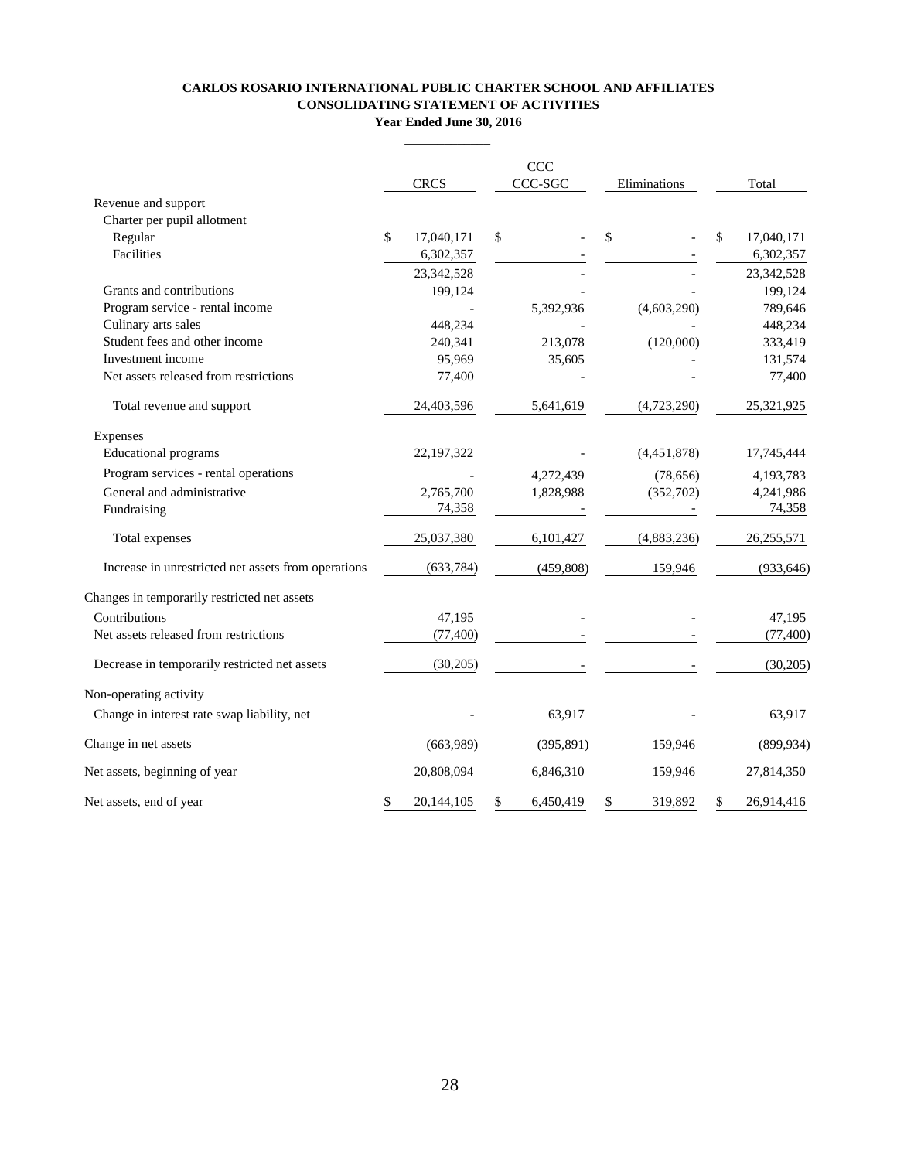#### **CARLOS ROSARIO INTERNATIONAL PUBLIC CHARTER SCHOOL AND AFFILIATES CONSOLIDATING STATEMENT OF ACTIVITIES Year Ended June 30, 2016**

**\_\_\_\_\_\_\_\_\_\_\_\_\_**

|                                                     | <b>CRCS</b>      | <b>CCC</b><br>CCC-SGC | Eliminations  | Total            |
|-----------------------------------------------------|------------------|-----------------------|---------------|------------------|
| Revenue and support                                 |                  |                       |               |                  |
| Charter per pupil allotment                         |                  |                       |               |                  |
| Regular                                             | \$<br>17,040,171 | \$                    | \$            | \$<br>17,040,171 |
| Facilities                                          | 6,302,357        |                       |               | 6,302,357        |
|                                                     | 23,342,528       |                       |               | 23,342,528       |
| Grants and contributions                            | 199,124          |                       |               | 199,124          |
| Program service - rental income                     |                  | 5,392,936             | (4,603,290)   | 789,646          |
| Culinary arts sales                                 | 448,234          |                       |               | 448,234          |
| Student fees and other income                       | 240,341          | 213,078               | (120,000)     | 333,419          |
| Investment income                                   | 95,969           | 35,605                |               | 131,574          |
| Net assets released from restrictions               | 77,400           |                       |               | 77,400           |
| Total revenue and support                           | 24,403,596       | 5,641,619             | (4,723,290)   | 25,321,925       |
| Expenses                                            |                  |                       |               |                  |
| <b>Educational programs</b>                         | 22,197,322       |                       | (4,451,878)   | 17,745,444       |
| Program services - rental operations                |                  | 4,272,439             | (78, 656)     | 4,193,783        |
| General and administrative                          | 2,765,700        | 1,828,988             | (352,702)     | 4,241,986        |
| Fundraising                                         | 74,358           |                       |               | 74,358           |
| Total expenses                                      | 25,037,380       | 6,101,427             | (4,883,236)   | 26,255,571       |
| Increase in unrestricted net assets from operations | (633, 784)       | (459, 808)            | 159,946       | (933, 646)       |
| Changes in temporarily restricted net assets        |                  |                       |               |                  |
| Contributions                                       | 47,195           |                       |               | 47,195           |
| Net assets released from restrictions               | (77, 400)        |                       |               | (77, 400)        |
| Decrease in temporarily restricted net assets       | (30,205)         |                       |               | (30,205)         |
| Non-operating activity                              |                  |                       |               |                  |
| Change in interest rate swap liability, net         |                  | 63,917                |               | 63,917           |
| Change in net assets                                | (663,989)        | (395, 891)            | 159,946       | (899, 934)       |
| Net assets, beginning of year                       | 20,808,094       | 6,846,310             | 159,946       | 27,814,350       |
| Net assets, end of year                             | \$<br>20,144,105 | \$<br>6,450,419       | \$<br>319,892 | \$<br>26,914,416 |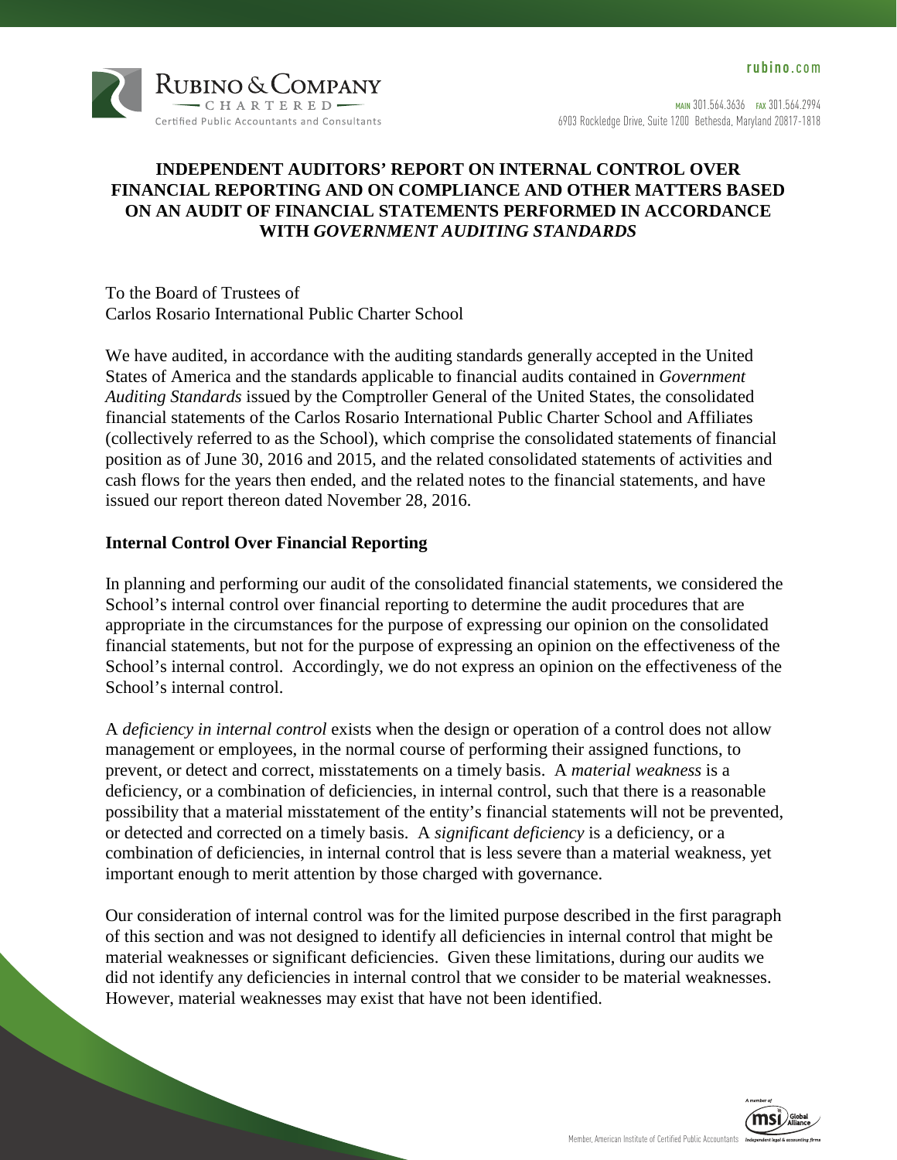

## **INDEPENDENT AUDITORS' REPORT ON INTERNAL CONTROL OVER FINANCIAL REPORTING AND ON COMPLIANCE AND OTHER MATTERS BASED ON AN AUDIT OF FINANCIAL STATEMENTS PERFORMED IN ACCORDANCE WITH** *GOVERNMENT AUDITING STANDARDS*

To the Board of Trustees of Carlos Rosario International Public Charter School

We have audited, in accordance with the auditing standards generally accepted in the United States of America and the standards applicable to financial audits contained in *Government Auditing Standards* issued by the Comptroller General of the United States, the consolidated financial statements of the Carlos Rosario International Public Charter School and Affiliates (collectively referred to as the School), which comprise the consolidated statements of financial position as of June 30, 2016 and 2015, and the related consolidated statements of activities and cash flows for the years then ended, and the related notes to the financial statements, and have issued our report thereon dated November 28, 2016.

### **Internal Control Over Financial Reporting**

In planning and performing our audit of the consolidated financial statements, we considered the School's internal control over financial reporting to determine the audit procedures that are appropriate in the circumstances for the purpose of expressing our opinion on the consolidated financial statements, but not for the purpose of expressing an opinion on the effectiveness of the School's internal control. Accordingly, we do not express an opinion on the effectiveness of the School's internal control.

A *deficiency in internal control* exists when the design or operation of a control does not allow management or employees, in the normal course of performing their assigned functions, to prevent, or detect and correct, misstatements on a timely basis. A *material weakness* is a deficiency, or a combination of deficiencies, in internal control, such that there is a reasonable possibility that a material misstatement of the entity's financial statements will not be prevented, or detected and corrected on a timely basis. A *significant deficiency* is a deficiency, or a combination of deficiencies, in internal control that is less severe than a material weakness, yet important enough to merit attention by those charged with governance.

Our consideration of internal control was for the limited purpose described in the first paragraph of this section and was not designed to identify all deficiencies in internal control that might be material weaknesses or significant deficiencies. Given these limitations, during our audits we did not identify any deficiencies in internal control that we consider to be material weaknesses. However, material weaknesses may exist that have not been identified.

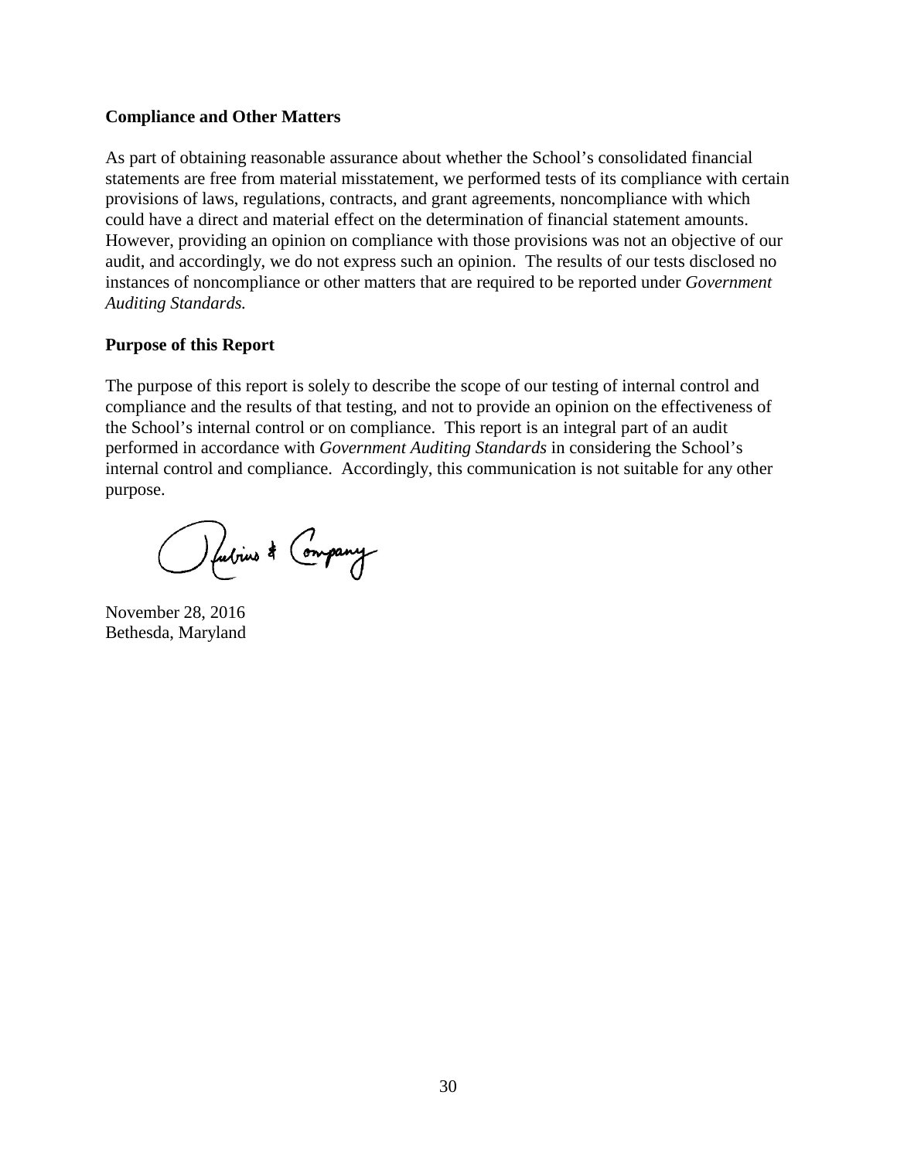### **Compliance and Other Matters**

As part of obtaining reasonable assurance about whether the School's consolidated financial statements are free from material misstatement, we performed tests of its compliance with certain provisions of laws, regulations, contracts, and grant agreements, noncompliance with which could have a direct and material effect on the determination of financial statement amounts. However, providing an opinion on compliance with those provisions was not an objective of our audit, and accordingly, we do not express such an opinion. The results of our tests disclosed no instances of noncompliance or other matters that are required to be reported under *Government Auditing Standards.* 

### **Purpose of this Report**

The purpose of this report is solely to describe the scope of our testing of internal control and compliance and the results of that testing, and not to provide an opinion on the effectiveness of the School's internal control or on compliance. This report is an integral part of an audit performed in accordance with *Government Auditing Standards* in considering the School's internal control and compliance. Accordingly, this communication is not suitable for any other purpose.

Outrine & Company

November 28, 2016 Bethesda, Maryland